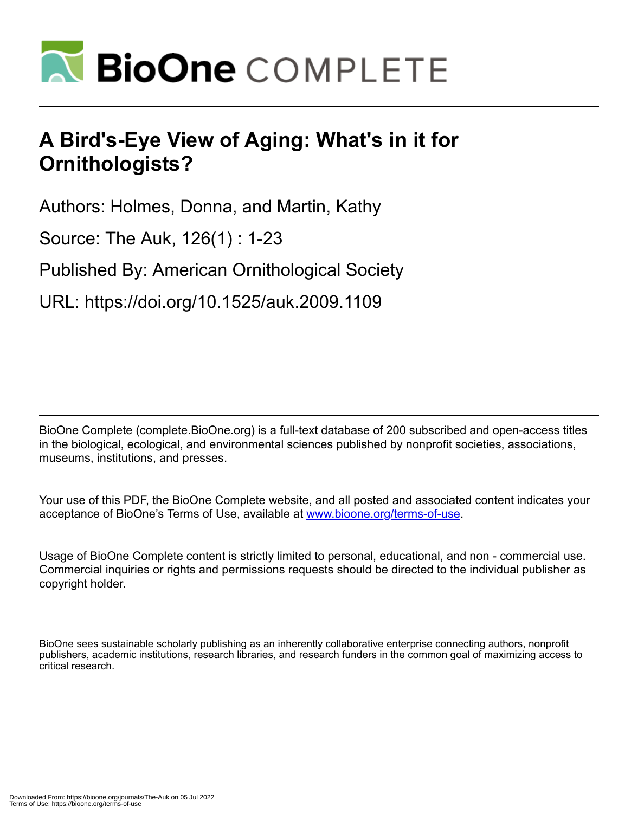

# **A Bird's-Eye View of Aging: What's in it for Ornithologists?**

Authors: Holmes, Donna, and Martin, Kathy

Source: The Auk, 126(1) : 1-23

Published By: American Ornithological Society

URL: https://doi.org/10.1525/auk.2009.1109

BioOne Complete (complete.BioOne.org) is a full-text database of 200 subscribed and open-access titles in the biological, ecological, and environmental sciences published by nonprofit societies, associations, museums, institutions, and presses.

Your use of this PDF, the BioOne Complete website, and all posted and associated content indicates your acceptance of BioOne's Terms of Use, available at www.bioone.org/terms-of-use.

Usage of BioOne Complete content is strictly limited to personal, educational, and non - commercial use. Commercial inquiries or rights and permissions requests should be directed to the individual publisher as copyright holder.

BioOne sees sustainable scholarly publishing as an inherently collaborative enterprise connecting authors, nonprofit publishers, academic institutions, research libraries, and research funders in the common goal of maximizing access to critical research.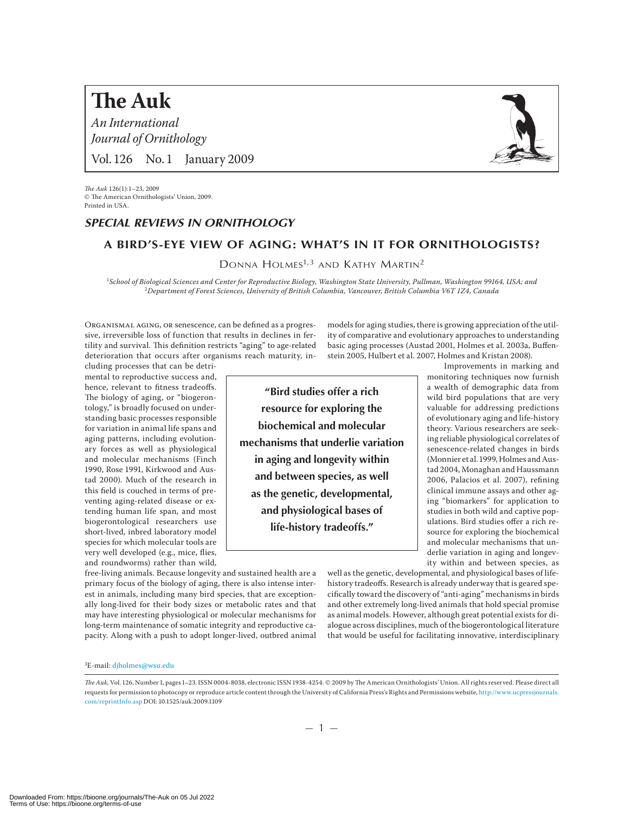## **The Auk**

*An International Journal of Ornithology* Vol. 126 No. 1 January 2009



*The Auk* 126(1):1–23, 2009  $© The American Ornithologists' Union, 2009.$ Printed in USA.

### *SPECIAL REVIEWS IN ORNITHOLOGY*

## **A BIRD'S-EYE VIEW OF AGING: WHAT'S IN IT FOR ORNITHOLOGISTS?**

DONNA HOLMES<sup>1,3</sup> AND KATHY MARTIN<sup>2</sup>

<sup>1</sup>*School of Biological Sciences and Center for Reproductive Biology, Washington State University, Pullman, Washington 99164, USA; and* <sup>2</sup>*Department of Forest Sciences, University of British Columbia, Vancouver, British Columbia V6T 1Z4, Canada*

Organismal aging, or senescence, can be defined as a progressive, irreversible loss of function that results in declines in fertility and survival. This definition restricts "aging" to age-related deterioration that occurs after organisms reach maturity, in-

cluding processes that can be detrimental to reproductive success and, hence, relevant to fitness tradeoffs. The biology of aging, or "biogerontology," is broadly focused on understanding basic processes responsible for variation in animal life spans and aging patterns, including evolutionary forces as well as physiological and molecular mechanisms (Finch 1990, Rose 1991, Kirkwood and Austad 2000). Much of the research in this field is couched in terms of preventing aging-related disease or extending human life span, and most biogerontological researchers use short-lived, inbred laboratory model species for which molecular tools are very well developed (e.g., mice, flies, and roundworms) rather than wild,

**"Bird studies offer a rich resource for exploring the biochemical and molecular mechanisms that underlie variation in aging and longevity within and between species, as well as the genetic, developmental, and physiological bases of life-history tradeoffs."**

models for aging studies, there is growing appreciation of the utility of comparative and evolutionary approaches to understanding basic aging processes (Austad 2001, Holmes et al. 2003a, Buffenstein 2005, Hulbert et al. 2007, Holmes and Kristan 2008).

> Improvements in marking and monitoring techniques now furnish a wealth of demographic data from wild bird populations that are very valuable for addressing predictions of evolutionary aging and life-history theory. Various researchers are seeking reliable physiological correlates of senescence-related changes in birds (Monnier et al. 1999, Holmes and Austad 2004, Monaghan and Haussmann 2006, Palacios et al. 2007), refining clinical immune assays and other aging "biomarkers" for application to studies in both wild and captive populations. Bird studies offer a rich resource for exploring the biochemical and molecular mechanisms that underlie variation in aging and longevity within and between species, as

free-living animals. Because longevity and sustained health are a primary focus of the biology of aging, there is also intense interest in animals, including many bird species, that are exceptionally long-lived for their body sizes or metabolic rates and that may have interesting physiological or molecular mechanisms for long-term maintenance of somatic integrity and reproductive capacity. Along with a push to adopt longer-lived, outbred animal well as the genetic, developmental, and physiological bases of lifehistory tradeoffs. Research is already underway that is geared specifically toward the discovery of "anti-aging" mechanisms in birds and other extremely long-lived animals that hold special promise as animal models. However, although great potential exists for dialogue across disciplines, much of the biogerontological literature that would be useful for facilitating innovative, interdisciplinary

#### 3E-mail: djholmes@wsu.edu

The Auk, Vol. 126, Number 1, pages 1-23. ISSN 0004-8038, electronic ISSN 1938-4254. © 2009 by The American Ornithologists' Union. All rights reserved. Please direct all requests for permission to photocopy or reproduce article content through the University of California Press's Rights and Permissions website, http://www.ucpressjournals. com/reprintInfo.asp DOI: 10.1525/auk.2009.1109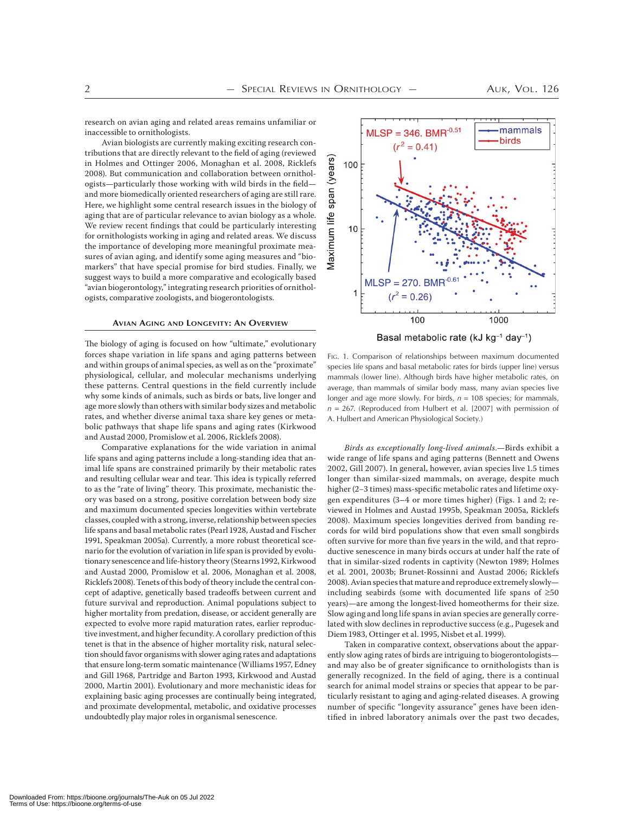research on avian aging and related areas remains unfamiliar or inaccessible to ornithologists.

Avian biologists are currently making exciting research contributions that are directly relevant to the field of aging (reviewed in Holmes and Ottinger 2006, Monaghan et al. 2008, Ricklefs ). But communication and collaboration between ornithologists—particularly those working with wild birds in the field and more biomedically oriented researchers of aging are still rare. Here, we highlight some central research issues in the biology of aging that are of particular relevance to avian biology as a whole. We review recent findings that could be particularly interesting for ornithologists working in aging and related areas. We discuss the importance of developing more meaningful proximate measures of avian aging, and identify some aging measures and "biomarkers" that have special promise for bird studies. Finally, we suggest ways to build a more comparative and ecologically based "avian biogerontology," integrating research priorities of ornithologists, comparative zoologists, and biogerontologists.

#### **AVIAN AGING AND LONGEVITY: AN OVERVIEW**

The biology of aging is focused on how "ultimate," evolutionary forces shape variation in life spans and aging patterns between and within groups of animal species, as well as on the "proximate" physiological, cellular, and molecular mechanisms underlying these patterns. Central questions in the field currently include why some kinds of animals, such as birds or bats, live longer and age more slowly than others with similar body sizes and metabolic rates, and whether diverse animal taxa share key genes or metabolic pathways that shape life spans and aging rates (Kirkwood and Austad 2000, Promislow et al. 2006, Ricklefs 2008).

Comparative explanations for the wide variation in animal life spans and aging patterns include a long-standing idea that animal life spans are constrained primarily by their metabolic rates and resulting cellular wear and tear. This idea is typically referred to as the "rate of living" theory. This proximate, mechanistic theory was based on a strong, positive correlation between body size and maximum documented species longevities within vertebrate classes, coupled with a strong, inverse, relationship between species life spans and basal metabolic rates (Pearl 1928, Austad and Fischer 1991, Speakman 2005a). Currently, a more robust theoretical scenario for the evolution of variation in life span is provided by evolutionary senescence and life-history theory (Stearns 1992, Kirkwood and Austad 2000, Promislow et al. 2006, Monaghan et al. 2008, Ricklefs 2008). Tenets of this body of theory include the central concept of adaptive, genetically based tradeoffs between current and future survival and reproduction. Animal populations subject to higher mortality from predation, disease, or accident generally are expected to evolve more rapid maturation rates, earlier reproductive investment, and higher fecundity. A corollary prediction of this tenet is that in the absence of higher mortality risk, natural selection should favor organisms with slower aging rates and adaptations that ensure long-term somatic maintenance (Williams 1957, Edney and Gill 1968, Partridge and Barton 1993, Kirkwood and Austad 2000, Martin 2001). Evolutionary and more mechanistic ideas for explaining basic aging processes are continually being integrated, and proximate developmental, metabolic, and oxidative processes undoubtedly play major roles in organismal senescence.



FIG. 1. Comparison of relationships between maximum documented species life spans and basal metabolic rates for birds (upper line) versus mammals (lower line). Although birds have higher metabolic rates, on average, than mammals of similar body mass, many avian species live longer and age more slowly. For birds,  $n = 108$  species; for mammals,  $n = 267$ . (Reproduced from Hulbert et al. [2007] with permission of A. Hulbert and American Physiological Society.)

*Birds as exceptionally long-lived animals*.—Birds exhibit a wide range of life spans and aging patterns (Bennett and Owens 2002, Gill 2007). In general, however, avian species live 1.5 times longer than similar-sized mammals, on average, despite much higher (2–3 times) mass-specific metabolic rates and lifetime oxygen expenditures (3-4 or more times higher) (Figs. 1 and 2; reviewed in Holmes and Austad 1995b, Speakman 2005a, Ricklefs ). Maximum species longevities derived from banding records for wild bird populations show that even small songbirds often survive for more than five years in the wild, and that reproductive senescence in many birds occurs at under half the rate of that in similar-sized rodents in captivity (Newton 1989; Holmes et al. 2001, 2003b; Brunet-Rossinni and Austad 2006; Ricklefs ). Avian species that mature and reproduce extremely slowly including seabirds (some with documented life spans of  $\geq 50$ years)—are among the longest-lived homeotherms for their size. Slow aging and long life spans in avian species are generally correlated with slow declines in reproductive success (e.g., Pugesek and Diem 1983, Ottinger et al. 1995, Nisbet et al. 1999).

Taken in comparative context, observations about the apparently slow aging rates of birds are intriguing to biogerontologists and may also be of greater significance to ornithologists than is generally recognized. In the field of aging, there is a continual search for animal model strains or species that appear to be particularly resistant to aging and aging-related diseases. A growing number of specific "longevity assurance" genes have been identified in inbred laboratory animals over the past two decades,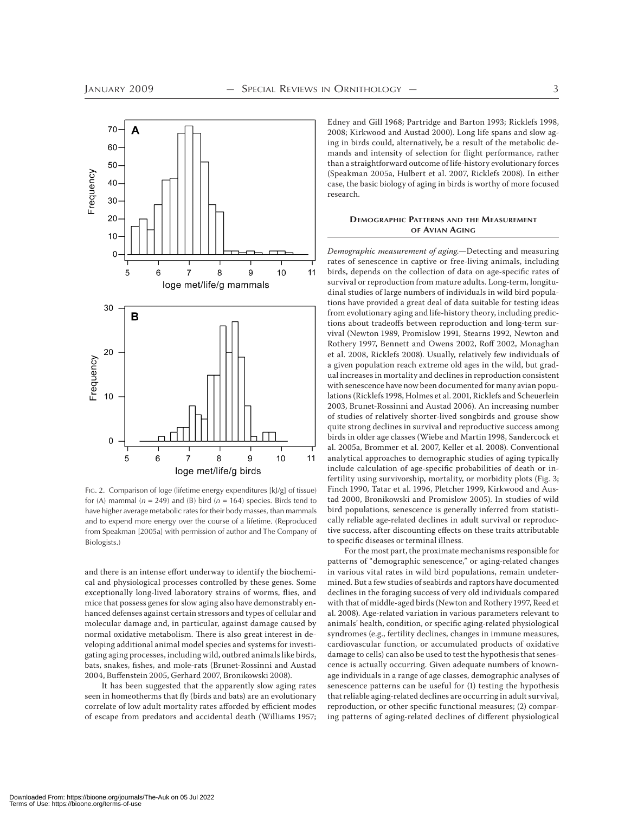

FIG. 2. Comparison of log*e* (lifetime energy expenditures [kJ/g] of tissue) for (A) mammal ( $n = 249$ ) and (B) bird ( $n = 164$ ) species. Birds tend to have higher average metabolic rates for their body masses, than mammals and to expend more energy over the course of a lifetime. (Reproduced from Speakman [2005a] with permission of author and The Company of Biologists.)

and there is an intense effort underway to identify the biochemical and physiological processes controlled by these genes. Some exceptionally long-lived laboratory strains of worms, flies, and mice that possess genes for slow aging also have demonstrably enhanced defenses against certain stressors and types of cellular and molecular damage and, in particular, against damage caused by normal oxidative metabolism. There is also great interest in developing additional animal model species and systems for investigating aging processes, including wild, outbred animals like birds, bats, snakes, fishes, and mole-rats (Brunet-Rossinni and Austad 2004, Buffenstein 2005, Gerhard 2007, Bronikowski 2008).

It has been suggested that the apparently slow aging rates seen in homeotherms that fly (birds and bats) are an evolutionary correlate of low adult mortality rates afforded by efficient modes of escape from predators and accidental death (Williams 1957;

Edney and Gill 1968; Partridge and Barton 1993; Ricklefs 1998, 2008; Kirkwood and Austad 2000). Long life spans and slow aging in birds could, alternatively, be a result of the metabolic demands and intensity of selection for flight performance, rather than a straightforward outcome of life-history evolutionary forces (Speakman 2005a, Hulbert et al. 2007, Ricklefs 2008). In either case, the basic biology of aging in birds is worthy of more focused research.

#### **DEMOGRAPHIC PATTERNS AND THE MEASUREMENT OF AVIAN AGING**

*Demographic measurement of aging*.—Detecting and measuring rates of senescence in captive or free-living animals, including birds, depends on the collection of data on age-specific rates of survival or reproduction from mature adults. Long-term, longitudinal studies of large numbers of individuals in wild bird populations have provided a great deal of data suitable for testing ideas from evolutionary aging and life-history theory, including predictions about tradeoffs between reproduction and long-term survival (Newton 1989, Promislow 1991, Stearns 1992, Newton and Rothery 1997, Bennett and Owens 2002, Roff 2002, Monaghan et al. 2008, Ricklefs 2008). Usually, relatively few individuals of a given population reach extreme old ages in the wild, but gradual increases in mortality and declines in reproduction consistent with senescence have now been documented for many avian populations (Ricklefs 1998, Holmes et al. 2001, Ricklefs and Scheuerlein 2003, Brunet-Rossinni and Austad 2006). An increasing number of studies of relatively shorter-lived songbirds and grouse show quite strong declines in survival and reproductive success among birds in older age classes (Wiebe and Martin 1998, Sandercock et al. 2005a, Brommer et al. 2007, Keller et al. 2008). Conventional analytical approaches to demographic studies of aging typically include calculation of age-specific probabilities of death or infertility using survivorship, mortality, or morbidity plots (Fig. 3; Finch 1990, Tatar et al. 1996, Pletcher 1999, Kirkwood and Austad 2000, Bronikowski and Promislow 2005). In studies of wild bird populations, senescence is generally inferred from statistically reliable age-related declines in adult survival or reproductive success, after discounting effects on these traits attributable to specific diseases or terminal illness.

For the most part, the proximate mechanisms responsible for patterns of "demographic senescence," or aging-related changes in various vital rates in wild bird populations, remain undetermined. But a few studies of seabirds and raptors have documented declines in the foraging success of very old individuals compared with that of middle-aged birds (Newton and Rothery 1997, Reed et al. 2008). Age-related variation in various parameters relevant to animals' health, condition, or specific aging-related physiological syndromes (e.g., fertility declines, changes in immune measures, cardiovascular function, or accumulated products of oxidative damage to cells) can also be used to test the hypothesis that senescence is actually occurring. Given adequate numbers of knownage individuals in a range of age classes, demographic analyses of senescence patterns can be useful for (1) testing the hypothesis that reliable aging-related declines are occurring in adult survival, reproduction, or other specific functional measures; (2) comparing patterns of aging-related declines of different physiological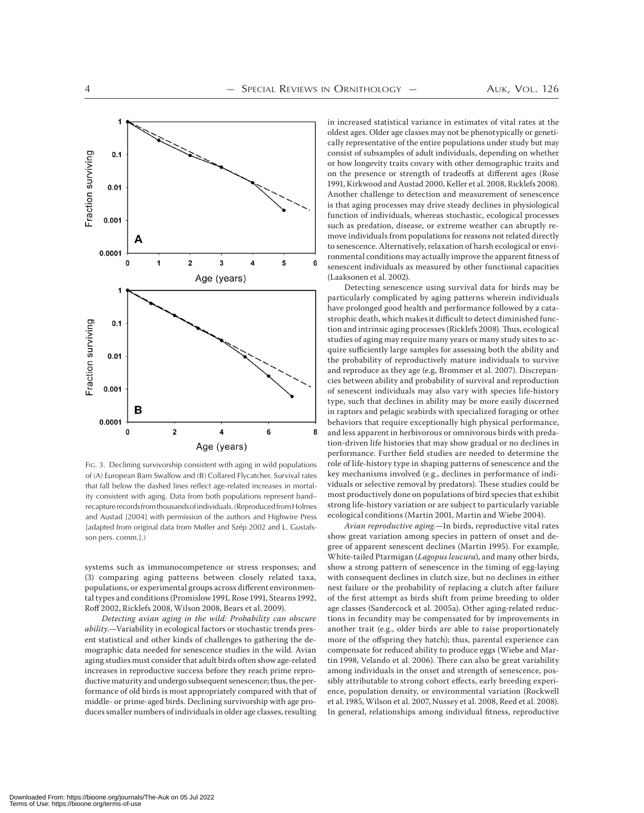

FIG. 3. Declining survivorship consistent with aging in wild populations of (A) European Barn Swallow and (B) Collared Flycatcher. Survival rates that fall below the dashed lines reflect age-related increases in mortality consistent with aging. Data from both populations represent band– recapture records from thousands of individuals. (Reproduced from Holmes and Austad [2004] with permission of the authors and Highwire Press [adapted from original data from Møller and Szép 2002 and L. Gustafsson pers. comm.].)

systems such as immunocompetence or stress responses; and (3) comparing aging patterns between closely related taxa, populations, or experimental groups across different environmental types and conditions (Promislow 1991, Rose 1991, Stearns 1992, Roff 2002, Ricklefs 2008, Wilson 2008, Bears et al. 2009).

*Detecting avian aging in the wild: Probability can obscure ability*.—Variability in ecological factors or stochastic trends present statistical and other kinds of challenges to gathering the demographic data needed for senescence studies in the wild. Avian aging studies must consider that adult birds often show age-related increases in reproductive success before they reach prime reproductive maturity and undergo subsequent senescence; thus, the performance of old birds is most appropriately compared with that of middle- or prime-aged birds. Declining survivorship with age produces smaller numbers of individuals in older age classes, resulting

in increased statistical variance in estimates of vital rates at the oldest ages. Older age classes may not be phenotypically or genetically representative of the entire populations under study but may consist of subsamples of adult individuals, depending on whether or how longevity traits covary with other demographic traits and on the presence or strength of tradeoffs at different ages (Rose 1991, Kirkwood and Austad 2000, Keller et al. 2008, Ricklefs 2008). Another challenge to detection and measurement of senescence is that aging processes may drive steady declines in physiological function of individuals, whereas stochastic, ecological processes such as predation, disease, or extreme weather can abruptly remove individuals from populations for reasons not related directly to senescence. Alternatively, relaxation of harsh ecological or environmental conditions may actually improve the apparent fitness of senescent individuals as measured by other functional capacities (Laaksonen et al. 2002).

Detecting senescence using survival data for birds may be particularly complicated by aging patterns wherein individuals have prolonged good health and performance followed by a catastrophic death, which makes it difficult to detect diminished function and intrinsic aging processes (Ricklefs 2008). Thus, ecological studies of aging may require many years or many study sites to acquire sufficiently large samples for assessing both the ability and the probability of reproductively mature individuals to survive and reproduce as they age (e.g, Brommer et al. 2007). Discrepancies between ability and probability of survival and reproduction of senescent individuals may also vary with species life-history type, such that declines in ability may be more easily discerned in raptors and pelagic seabirds with specialized foraging or other behaviors that require exceptionally high physical performance, and less apparent in herbivorous or omnivorous birds with predation-driven life histories that may show gradual or no declines in performance. Further field studies are needed to determine the role of life-history type in shaping patterns of senescence and the key mechanisms involved (e.g., declines in performance of individuals or selective removal by predators). These studies could be most productively done on populations of bird species that exhibit strong life-history variation or are subject to particularly variable ecological conditions (Martin 2001, Martin and Wiebe 2004).

*Avian reproductive aging*.—In birds, reproductive vital rates show great variation among species in pattern of onset and degree of apparent senescent declines (Martin 1995). For example, White-tailed Ptarmigan (*Lagopus leucura*), and many other birds, show a strong pattern of senescence in the timing of egg-laying with consequent declines in clutch size, but no declines in either nest failure or the probability of replacing a clutch after failure of the first attempt as birds shift from prime breeding to older age classes (Sandercock et al. 2005a). Other aging-related reductions in fecundity may be compensated for by improvements in another trait (e.g., older birds are able to raise proportionately more of the offspring they hatch); thus, parental experience can compensate for reduced ability to produce eggs (Wiebe and Martin 1998, Velando et al. 2006). There can also be great variability among individuals in the onset and strength of senescence, possibly attributable to strong cohort effects, early breeding experience, population density, or environmental variation (Rockwell et al. 1985, Wilson et al. 2007, Nussey et al. 2008, Reed et al. 2008). In general, relationships among individual fitness, reproductive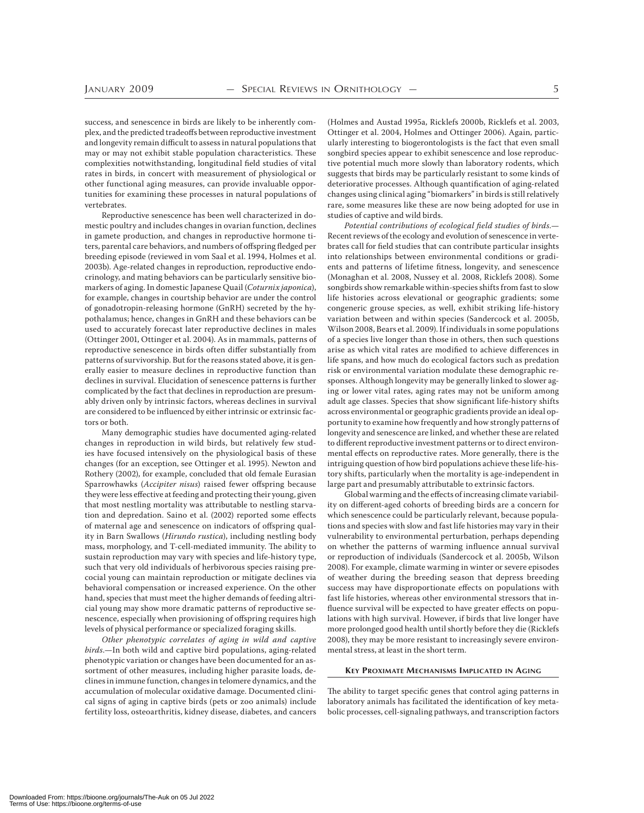success, and senescence in birds are likely to be inherently complex, and the predicted tradeoffs between reproductive investment and longevity remain difficult to assess in natural populations that may or may not exhibit stable population characteristics. These complexities notwithstanding, longitudinal field studies of vital rates in birds, in concert with measurement of physiological or other functional aging measures, can provide invaluable opportunities for examining these processes in natural populations of vertebrates.

Reproductive senescence has been well characterized in domestic poultry and includes changes in ovarian function, declines in gamete production, and changes in reproductive hormone titers, parental care behaviors, and numbers of offspring fledged per breeding episode (reviewed in vom Saal et al. 1994, Holmes et al. 2003b). Age-related changes in reproduction, reproductive endocrinology, and mating behaviors can be particularly sensitive biomarkers of aging. In domestic Japanese Quail (*Coturnix japonica*), for example, changes in courtship behavior are under the control of gonadotropin-releasing hormone (GnRH) secreted by the hypothalamus; hence, changes in GnRH and these behaviors can be used to accurately forecast later reproductive declines in males (Ottinger 2001, Ottinger et al. 2004). As in mammals, patterns of reproductive senescence in birds often differ substantially from patterns of survivorship. But for the reasons stated above, it is generally easier to measure declines in reproductive function than declines in survival. Elucidation of senescence patterns is further complicated by the fact that declines in reproduction are presumably driven only by intrinsic factors, whereas declines in survival are considered to be influenced by either intrinsic or extrinsic factors or both.

Many demographic studies have documented aging-related changes in reproduction in wild birds, but relatively few studies have focused intensively on the physiological basis of these changes (for an exception, see Ottinger et al. 1995). Newton and Rothery (2002), for example, concluded that old female Eurasian Sparrowhawks (*Accipiter nisus*) raised fewer offspring because they were less effective at feeding and protecting their young, given that most nestling mortality was attributable to nestling starvation and depredation. Saino et al. (2002) reported some effects of maternal age and senescence on indicators of offspring quality in Barn Swallows (*Hirundo rustica*), including nestling body mass, morphology, and T-cell-mediated immunity. The ability to sustain reproduction may vary with species and life-history type, such that very old individuals of herbivorous species raising precocial young can maintain reproduction or mitigate declines via behavioral compensation or increased experience. On the other hand, species that must meet the higher demands of feeding altricial young may show more dramatic patterns of reproductive senescence, especially when provisioning of offspring requires high levels of physical performance or specialized foraging skills.

*Other phenotypic correlates of aging in wild and captive birds*.—In both wild and captive bird populations, aging-related phenotypic variation or changes have been documented for an assortment of other measures, including higher parasite loads, declines in immune function, changes in telomere dynamics, and the accumulation of molecular oxidative damage. Documented clinical signs of aging in captive birds (pets or zoo animals) include fertility loss, osteoarthritis, kidney disease, diabetes, and cancers

(Holmes and Austad 1995a, Ricklefs 2000b, Ricklefs et al. 2003, Ottinger et al. 2004, Holmes and Ottinger 2006). Again, particularly interesting to biogerontologists is the fact that even small songbird species appear to exhibit senescence and lose reproductive potential much more slowly than laboratory rodents, which suggests that birds may be particularly resistant to some kinds of deteriorative processes. Although quantification of aging-related changes using clinical aging "biomarkers" in birds is still relatively rare, some measures like these are now being adopted for use in studies of captive and wild birds.

*Potential contributions of ecological field studies of birds*.— Recent reviews of the ecology and evolution of senescence in vertebrates call for field studies that can contribute particular insights into relationships between environmental conditions or gradients and patterns of lifetime fitness, longevity, and senescence (Monaghan et al. 2008, Nussey et al. 2008, Ricklefs 2008). Some songbirds show remarkable within-species shifts from fast to slow life histories across elevational or geographic gradients; some congeneric grouse species, as well, exhibit striking life-history variation between and within species (Sandercock et al. 2005b, Wilson 2008, Bears et al. 2009). If individuals in some populations of a species live longer than those in others, then such questions arise as which vital rates are modified to achieve differences in life spans, and how much do ecological factors such as predation risk or environmental variation modulate these demographic responses. Although longevity may be generally linked to slower aging or lower vital rates, aging rates may not be uniform among adult age classes. Species that show significant life-history shifts across environmental or geographic gradients provide an ideal opportunity to examine how frequently and how strongly patterns of longevity and senescence are linked, and whether these are related to different reproductive investment patterns or to direct environmental effects on reproductive rates. More generally, there is the intriguing question of how bird populations achieve these life-history shifts, particularly when the mortality is age-independent in large part and presumably attributable to extrinsic factors.

Global warming and the effects of increasing climate variability on different-aged cohorts of breeding birds are a concern for which senescence could be particularly relevant, because populations and species with slow and fast life histories may vary in their vulnerability to environmental perturbation, perhaps depending on whether the patterns of warming influence annual survival or reproduction of individuals (Sandercock et al. 2005b, Wilson ). For example, climate warming in winter or severe episodes of weather during the breeding season that depress breeding success may have disproportionate effects on populations with fast life histories, whereas other environmental stressors that influence survival will be expected to have greater effects on populations with high survival. However, if birds that live longer have more prolonged good health until shortly before they die (Ricklefs 2008), they may be more resistant to increasingly severe environmental stress, at least in the short term.

#### **KEY PROXIMATE MECHANISMS IMPLICATED IN AGING**

The ability to target specific genes that control aging patterns in laboratory animals has facilitated the identification of key metabolic processes, cell-signaling pathways, and transcription factors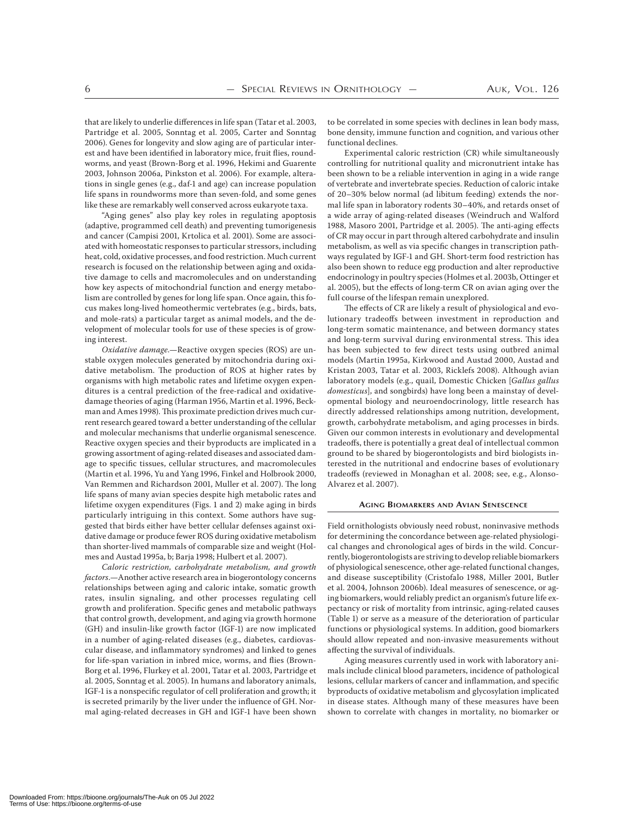that are likely to underlie differences in life span (Tatar et al. 2003, Partridge et al. 2005, Sonntag et al. 2005, Carter and Sonntag ). Genes for longevity and slow aging are of particular interest and have been identified in laboratory mice, fruit flies, roundworms, and yeast (Brown-Borg et al. 1996, Hekimi and Guarente 2003, Johnson 2006a, Pinkston et al. 2006). For example, alterations in single genes (e.g., daf- $1$  and age) can increase population life spans in roundworms more than seven-fold, and some genes like these are remarkably well conserved across eukaryote taxa.

"Aging genes" also play key roles in regulating apoptosis (adaptive, programmed cell death) and preventing tumorigenesis and cancer (Campisi 2001, Krtolica et al. 2001). Some are associated with homeostatic responses to particular stressors, including heat, cold, oxidative processes, and food restriction. Much current research is focused on the relationship between aging and oxidative damage to cells and macromolecules and on understanding how key aspects of mitochondrial function and energy metabolism are controlled by genes for long life span. Once again, this focus makes long-lived homeothermic vertebrates (e.g., birds, bats, and mole-rats) a particular target as animal models, and the development of molecular tools for use of these species is of growing interest.

*Oxidative damage*.—Reactive oxygen species (ROS) are unstable oxygen molecules generated by mitochondria during oxidative metabolism. The production of ROS at higher rates by organisms with high metabolic rates and lifetime oxygen expenditures is a central prediction of the free-radical and oxidativedamage theories of aging (Harman 1956, Martin et al. 1996, Beckman and Ames 1998). This proximate prediction drives much current research geared toward a better understanding of the cellular and molecular mechanisms that underlie organismal senescence. Reactive oxygen species and their byproducts are implicated in a growing assortment of aging-related diseases and associated damage to specific tissues, cellular structures, and macromolecules (Martin et al. 1996, Yu and Yang 1996, Finkel and Holbrook 2000, Van Remmen and Richardson 2001, Muller et al. 2007). The long life spans of many avian species despite high metabolic rates and lifetime oxygen expenditures (Figs. 1 and 2) make aging in birds particularly intriguing in this context. Some authors have suggested that birds either have better cellular defenses against oxidative damage or produce fewer ROS during oxidative metabolism than shorter-lived mammals of comparable size and weight (Holmes and Austad 1995a, b; Barja 1998; Hulbert et al. 2007).

*Caloric restriction, carbohydrate metabolism, and growth factors*.—Another active research area in biogerontology concerns relationships between aging and caloric intake, somatic growth rates, insulin signaling, and other processes regulating cell growth and proliferation. Specific genes and metabolic pathways that control growth, development, and aging via growth hormone (GH) and insulin-like growth factor (IGF-1) are now implicated in a number of aging-related diseases (e.g., diabetes, cardiovascular disease, and inflammatory syndromes) and linked to genes for life-span variation in inbred mice, worms, and flies (Brown-Borg et al. 1996, Flurkey et al. 2001, Tatar et al. 2003, Partridge et al. 2005, Sonntag et al. 2005). In humans and laboratory animals, IGF-1 is a nonspecific regulator of cell proliferation and growth; it is secreted primarily by the liver under the influence of GH. Normal aging-related decreases in GH and IGF-1 have been shown

to be correlated in some species with declines in lean body mass, bone density, immune function and cognition, and various other functional declines.

Experimental caloric restriction (CR) while simultaneously controlling for nutritional quality and micronutrient intake has been shown to be a reliable intervention in aging in a wide range of vertebrate and invertebrate species. Reduction of caloric intake of 20-30% below normal (ad libitum feeding) extends the normal life span in laboratory rodents 30-40%, and retards onset of a wide array of aging-related diseases (Weindruch and Walford 1988, Masoro 2001, Partridge et al. 2005). The anti-aging effects of CR may occur in part through altered carbohydrate and insulin metabolism, as well as via specific changes in transcription pathways regulated by IGF-1 and GH. Short-term food restriction has also been shown to reduce egg production and alter reproductive endocrinology in poultry species (Holmes et al. 2003b, Ottinger et al. 2005), but the effects of long-term CR on avian aging over the full course of the lifespan remain unexplored.

The effects of CR are likely a result of physiological and evolutionary tradeoffs between investment in reproduction and long-term somatic maintenance, and between dormancy states and long-term survival during environmental stress. This idea has been subjected to few direct tests using outbred animal models (Martin 1995a, Kirkwood and Austad 2000, Austad and Kristan 2003, Tatar et al. 2003, Ricklefs 2008). Although avian laboratory models (e.g., quail, Domestic Chicken [*Gallus gallus domesticus*], and songbirds) have long been a mainstay of developmental biology and neuroendocrinology, little research has directly addressed relationships among nutrition, development, growth, carbohydrate metabolism, and aging processes in birds. Given our common interests in evolutionary and developmental tradeoffs, there is potentially a great deal of intellectual common ground to be shared by biogerontologists and bird biologists interested in the nutritional and endocrine bases of evolutionary tradeoffs (reviewed in Monaghan et al. 2008; see, e.g., Alonso-Alvarez et al. 2007).

#### **AGING BIOMARKERS AND AVIAN SENESCENCE**

Field ornithologists obviously need robust, noninvasive methods for determining the concordance between age-related physiological changes and chronological ages of birds in the wild. Concurrently, biogerontologists are striving to develop reliable biomarkers of physiological senescence, other age-related functional changes, and disease susceptibility (Cristofalo 1988, Miller 2001, Butler et al. 2004, Johnson 2006b). Ideal measures of senescence, or aging biomarkers, would reliably predict an organism's future life expectancy or risk of mortality from intrinsic, aging-related causes (Table ) or serve as a measure of the deterioration of particular functions or physiological systems. In addition, good biomarkers should allow repeated and non-invasive measurements without affecting the survival of individuals.

Aging measures currently used in work with laboratory animals include clinical blood parameters, incidence of pathological lesions, cellular markers of cancer and inflammation, and specific byproducts of oxidative metabolism and glycosylation implicated in disease states. Although many of these measures have been shown to correlate with changes in mortality, no biomarker or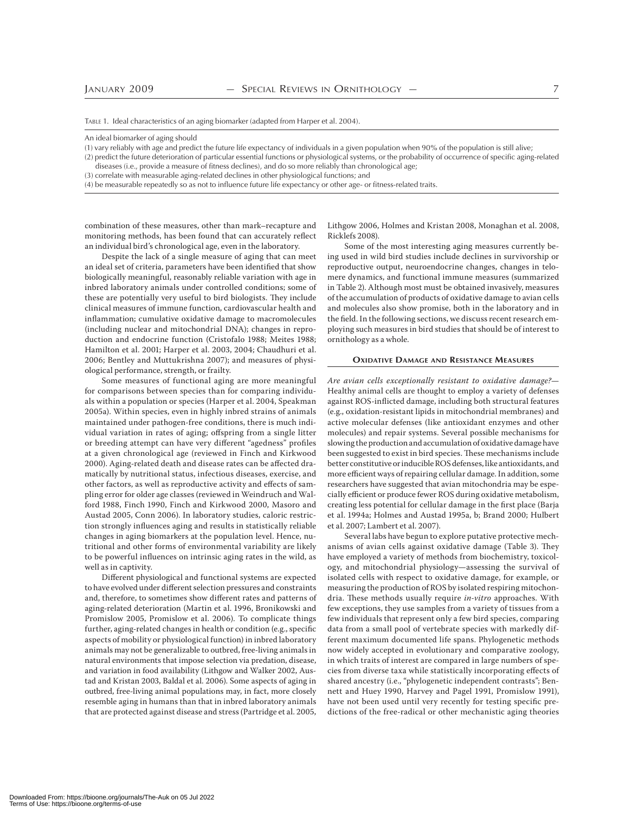TABLE 1. Ideal characteristics of an aging biomarker (adapted from Harper et al. 2004).

An ideal biomarker of aging should

(1) vary reliably with age and predict the future life expectancy of individuals in a given population when 90% of the population is still alive;

(2) predict the future deterioration of particular essential functions or physiological systems, or the probability of occurrence of specific aging-related diseases (i.e., provide a measure of fitness declines), and do so more reliably than chronological age;

(3) correlate with measurable aging-related declines in other physiological functions; and

(4) be measurable repeatedly so as not to influence future life expectancy or other age- or fitness-related traits.

combination of these measures, other than mark–recapture and monitoring methods, has been found that can accurately reflect an individual bird's chronological age, even in the laboratory.

Despite the lack of a single measure of aging that can meet an ideal set of criteria, parameters have been identified that show biologically meaningful, reasonably reliable variation with age in inbred laboratory animals under controlled conditions; some of these are potentially very useful to bird biologists. They include clinical measures of immune function, cardiovascular health and inflammation; cumulative oxidative damage to macromolecules (including nuclear and mitochondrial DNA); changes in reproduction and endocrine function (Cristofalo 1988; Meites 1988; Hamilton et al. 2001; Harper et al. 2003, 2004; Chaudhuri et al. 2006; Bentley and Muttukrishna 2007); and measures of physiological performance, strength, or frailty.

Some measures of functional aging are more meaningful for comparisons between species than for comparing individuals within a population or species (Harper et al. 2004, Speakman 2005a). Within species, even in highly inbred strains of animals maintained under pathogen-free conditions, there is much individual variation in rates of aging; offspring from a single litter or breeding attempt can have very different "agedness" profiles at a given chronological age (reviewed in Finch and Kirkwood ). Aging-related death and disease rates can be affected dramatically by nutritional status, infectious diseases, exercise, and other factors, as well as reproductive activity and effects of sampling error for older age classes (reviewed in Weindruch and Walford 1988, Finch 1990, Finch and Kirkwood 2000, Masoro and Austad 2005, Conn 2006). In laboratory studies, caloric restriction strongly influences aging and results in statistically reliable changes in aging biomarkers at the population level. Hence, nutritional and other forms of environmental variability are likely to be powerful influences on intrinsic aging rates in the wild, as well as in captivity.

Different physiological and functional systems are expected to have evolved under different selection pressures and constraints and, therefore, to sometimes show different rates and patterns of aging-related deterioration (Martin et al. 1996, Bronikowski and Promislow 2005, Promislow et al. 2006). To complicate things further, aging-related changes in health or condition (e.g., specific aspects of mobility or physiological function) in inbred laboratory animals may not be generalizable to outbred, free-living animals in natural environments that impose selection via predation, disease, and variation in food availability (Lithgow and Walker 2002, Austad and Kristan 2003, Baldal et al. 2006). Some aspects of aging in outbred, free-living animal populations may, in fact, more closely resemble aging in humans than that in inbred laboratory animals that are protected against disease and stress (Partridge et al. 2005,

Lithgow 2006, Holmes and Kristan 2008, Monaghan et al. 2008, Ricklefs 2008).

Some of the most interesting aging measures currently being used in wild bird studies include declines in survivorship or reproductive output, neuroendocrine changes, changes in telomere dynamics, and functional immune measures (summarized in Table 2). Although most must be obtained invasively, measures of the accumulation of products of oxidative damage to avian cells and molecules also show promise, both in the laboratory and in the field. In the following sections, we discuss recent research employing such measures in bird studies that should be of interest to ornithology as a whole.

#### **OXIDATIVE DAMAGE AND RESISTANCE MEASURES**

*Are avian cells exceptionally resistant to oxidative damage?*— Healthy animal cells are thought to employ a variety of defenses against ROS-inflicted damage, including both structural features (e.g., oxidation-resistant lipids in mitochondrial membranes) and active molecular defenses (like antioxidant enzymes and other molecules) and repair systems. Several possible mechanisms for slowing the production and accumulation of oxidative damage have been suggested to exist in bird species. These mechanisms include better constitutive or inducible ROS defenses, like antioxidants, and more efficient ways of repairing cellular damage. In addition, some researchers have suggested that avian mitochondria may be especially efficient or produce fewer ROS during oxidative metabolism, creating less potential for cellular damage in the first place (Barja et al. 1994a; Holmes and Austad 1995a, b; Brand 2000; Hulbert et al. 2007; Lambert et al. 2007).

Several labs have begun to explore putative protective mechanisms of avian cells against oxidative damage (Table 3). They have employed a variety of methods from biochemistry, toxicology, and mitochondrial physiology—assessing the survival of isolated cells with respect to oxidative damage, for example, or measuring the production of ROS by isolated respiring mitochondria. These methods usually require *in-vitro* approaches. With few exceptions, they use samples from a variety of tissues from a few individuals that represent only a few bird species, comparing data from a small pool of vertebrate species with markedly different maximum documented life spans. Phylogenetic methods now widely accepted in evolutionary and comparative zoology, in which traits of interest are compared in large numbers of species from diverse taxa while statistically incorporating effects of shared ancestry (i.e., "phylogenetic independent contrasts"; Bennett and Huey 1990, Harvey and Pagel 1991, Promislow 1991), have not been used until very recently for testing specific predictions of the free-radical or other mechanistic aging theories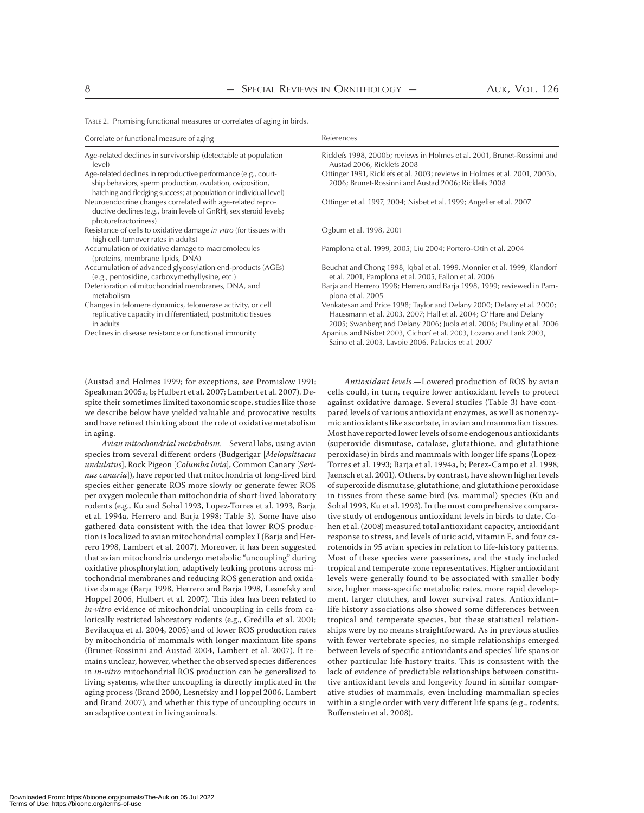| Correlate or functional measure of aging                                                                                                                                                         | References                                                                                                                                                                                                           |
|--------------------------------------------------------------------------------------------------------------------------------------------------------------------------------------------------|----------------------------------------------------------------------------------------------------------------------------------------------------------------------------------------------------------------------|
| Age-related declines in survivorship (detectable at population<br>level)                                                                                                                         | Ricklefs 1998, 2000b; reviews in Holmes et al. 2001, Brunet-Rossinni and<br>Austad 2006, Ricklefs 2008                                                                                                               |
| Age-related declines in reproductive performance (e.g., court-<br>ship behaviors, sperm production, ovulation, oviposition,<br>hatching and fledging success; at population or individual level) | Ottinger 1991, Ricklefs et al. 2003; reviews in Holmes et al. 2001, 2003b,<br>2006; Brunet-Rossinni and Austad 2006; Ricklefs 2008                                                                                   |
| Neuroendocrine changes correlated with age-related repro-<br>ductive declines (e.g., brain levels of GnRH, sex steroid levels;<br>photorefractoriness)                                           | Ottinger et al. 1997, 2004; Nisbet et al. 1999; Angelier et al. 2007                                                                                                                                                 |
| Resistance of cells to oxidative damage in vitro (for tissues with<br>high cell-turnover rates in adults)                                                                                        | Ogburn et al. 1998, 2001                                                                                                                                                                                             |
| Accumulation of oxidative damage to macromolecules<br>(proteins, membrane lipids, DNA)                                                                                                           | Pamplona et al. 1999, 2005; Liu 2004; Portero-Otín et al. 2004                                                                                                                                                       |
| Accumulation of advanced glycosylation end-products (AGEs)<br>(e.g., pentosidine, carboxymethyllysine, etc.)                                                                                     | Beuchat and Chong 1998, Iqbal et al. 1999, Monnier et al. 1999, Klandorf<br>et al. 2001, Pamplona et al. 2005, Fallon et al. 2006                                                                                    |
| Deterioration of mitochondrial membranes, DNA, and<br>metabolism                                                                                                                                 | Barja and Herrero 1998; Herrero and Barja 1998, 1999; reviewed in Pam-<br>plona et al. 2005                                                                                                                          |
| Changes in telomere dynamics, telomerase activity, or cell<br>replicative capacity in differentiated, postmitotic tissues<br>in adults                                                           | Venkatesan and Price 1998; Taylor and Delany 2000; Delany et al. 2000;<br>Haussmann et al. 2003, 2007; Hall et al. 2004; O'Hare and Delany<br>2005; Swanberg and Delany 2006; Juola et al. 2006; Pauliny et al. 2006 |
| Declines in disease resistance or functional immunity                                                                                                                                            | Apanius and Nisbet 2003, Cichon' et al. 2003, Lozano and Lank 2003,<br>Saino et al. 2003, Lavoie 2006, Palacios et al. 2007                                                                                          |

TABLE 2. Promising functional measures or correlates of aging in birds.

(Austad and Holmes 1999; for exceptions, see Promislow 1991; Speakman 2005a, b; Hulbert et al. 2007; Lambert et al. 2007). Despite their sometimes limited taxonomic scope, studies like those we describe below have yielded valuable and provocative results and have refined thinking about the role of oxidative metabolism in aging.

*Avian mitochondrial metabolism*.—Several labs, using avian species from several different orders (Budgerigar [*Melopsittacus undulatus*], Rock Pigeon [*Columba livia*], Common Canary [*Serinus canaria*]), have reported that mitochondria of long-lived bird species either generate ROS more slowly or generate fewer ROS per oxygen molecule than mitochondria of short-lived laboratory rodents (e.g., Ku and Sohal 1993, Lopez-Torres et al. 1993, Barja et al. 1994a, Herrero and Barja 1998; Table 3). Some have also gathered data consistent with the idea that lower ROS production is localized to avian mitochondrial complex I (Barja and Herrero 1998, Lambert et al. 2007). Moreover, it has been suggested that avian mitochondria undergo metabolic "uncoupling" during oxidative phosphorylation, adaptively leaking protons across mitochondrial membranes and reducing ROS generation and oxidative damage (Barja 1998, Herrero and Barja 1998, Lesnefsky and Hoppel 2006, Hulbert et al. 2007). This idea has been related to *in-vitro* evidence of mitochondrial uncoupling in cells from calorically restricted laboratory rodents (e.g., Gredilla et al. 2001; Bevilacqua et al. 2004, 2005) and of lower ROS production rates by mitochondria of mammals with longer maximum life spans (Brunet-Rossinni and Austad 2004, Lambert et al. 2007). It remains unclear, however, whether the observed species differences in *in-vitro* mitochondrial ROS production can be generalized to living systems, whether uncoupling is directly implicated in the aging process (Brand 2000, Lesnefsky and Hoppel 2006, Lambert and Brand 2007), and whether this type of uncoupling occurs in an adaptive context in living animals.

*Antioxidant levels*.—Lowered production of ROS by avian cells could, in turn, require lower antioxidant levels to protect against oxidative damage. Several studies (Table 3) have compared levels of various antioxidant enzymes, as well as nonenzymic antioxidants like ascorbate, in avian and mammalian tissues. Most have reported lower levels of some endogenous antioxidants (superoxide dismutase, catalase, glutathione, and glutathione peroxidase) in birds and mammals with longer life spans (Lopez-Torres et al. 1993; Barja et al. 1994a, b; Perez-Campo et al. 1998; Jaensch et al. 2001). Others, by contrast, have shown higher levels of superoxide dismutase, glutathione, and glutathione peroxidase in tissues from these same bird (vs. mammal) species (Ku and Sohal 1993, Ku et al. 1993). In the most comprehensive comparative study of endogenous antioxidant levels in birds to date, Cohen et al. (2008) measured total antioxidant capacity, antioxidant response to stress, and levels of uric acid, vitamin E, and four carotenoids in 95 avian species in relation to life-history patterns. Most of these species were passerines, and the study included tropical and temperate-zone representatives. Higher antioxidant levels were generally found to be associated with smaller body size, higher mass-specific metabolic rates, more rapid development, larger clutches, and lower survival rates. Antioxidant– life history associations also showed some differences between tropical and temperate species, but these statistical relationships were by no means straightforward. As in previous studies with fewer vertebrate species, no simple relationships emerged between levels of specific antioxidants and species' life spans or other particular life-history traits. This is consistent with the lack of evidence of predictable relationships between constitutive antioxidant levels and longevity found in similar comparative studies of mammals, even including mammalian species within a single order with very different life spans (e.g., rodents; Buffenstein et al. 2008).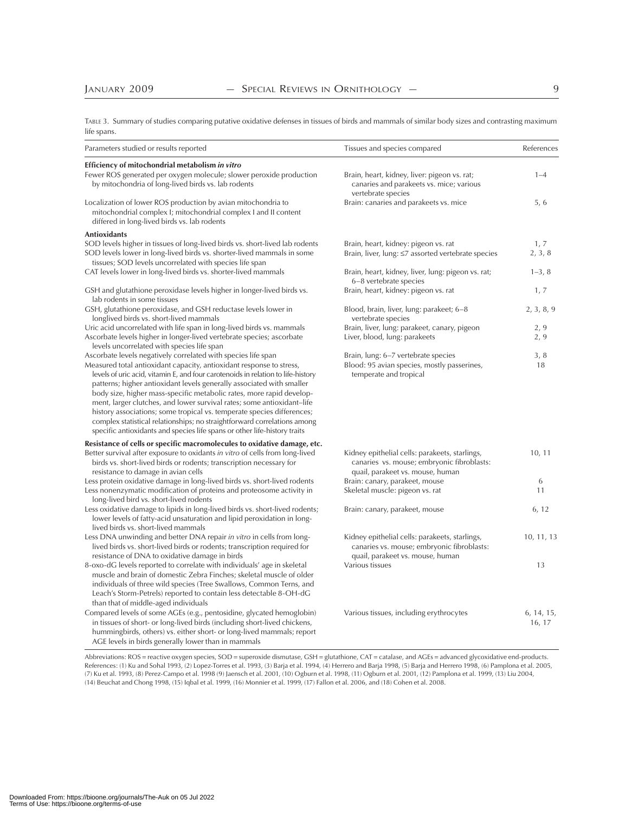TABLE 3. Summary of studies comparing putative oxidative defenses in tissues of birds and mammals of similar body sizes and contrasting maximum life spans.

| Parameters studied or results reported                                                                                                                                                                                                                                                                                                                                                                                                                                                                                                                                                                                                                                                  | Tissues and species compared                                                                                                     | References           |
|-----------------------------------------------------------------------------------------------------------------------------------------------------------------------------------------------------------------------------------------------------------------------------------------------------------------------------------------------------------------------------------------------------------------------------------------------------------------------------------------------------------------------------------------------------------------------------------------------------------------------------------------------------------------------------------------|----------------------------------------------------------------------------------------------------------------------------------|----------------------|
| Efficiency of mitochondrial metabolism in vitro<br>Fewer ROS generated per oxygen molecule; slower peroxide production<br>by mitochondria of long-lived birds vs. lab rodents                                                                                                                                                                                                                                                                                                                                                                                                                                                                                                           | Brain, heart, kidney, liver: pigeon vs. rat;<br>canaries and parakeets vs. mice; various<br>vertebrate species                   | $1 - 4$              |
| Localization of lower ROS production by avian mitochondria to<br>mitochondrial complex I; mitochondrial complex I and II content<br>differed in long-lived birds vs. lab rodents                                                                                                                                                                                                                                                                                                                                                                                                                                                                                                        | Brain: canaries and parakeets vs. mice                                                                                           | 5, 6                 |
| Antioxidants                                                                                                                                                                                                                                                                                                                                                                                                                                                                                                                                                                                                                                                                            |                                                                                                                                  |                      |
| SOD levels higher in tissues of long-lived birds vs. short-lived lab rodents<br>SOD levels lower in long-lived birds vs. shorter-lived mammals in some<br>tissues; SOD levels uncorrelated with species life span                                                                                                                                                                                                                                                                                                                                                                                                                                                                       | Brain, heart, kidney: pigeon vs. rat<br>Brain, liver, lung: ≤7 assorted vertebrate species                                       | 1, 7<br>2, 3, 8      |
| CAT levels lower in long-lived birds vs. shorter-lived mammals                                                                                                                                                                                                                                                                                                                                                                                                                                                                                                                                                                                                                          | Brain, heart, kidney, liver, lung: pigeon vs. rat;<br>6-8 vertebrate species                                                     | $1-3, 8$             |
| GSH and glutathione peroxidase levels higher in longer-lived birds vs.<br>lab rodents in some tissues                                                                                                                                                                                                                                                                                                                                                                                                                                                                                                                                                                                   | Brain, heart, kidney: pigeon vs. rat                                                                                             | 1, 7                 |
| GSH, glutathione peroxidase, and GSH reductase levels lower in<br>longlived birds vs. short-lived mammals                                                                                                                                                                                                                                                                                                                                                                                                                                                                                                                                                                               | Blood, brain, liver, lung: parakeet; 6-8<br>vertebrate species                                                                   | 2, 3, 8, 9           |
| Uric acid uncorrelated with life span in long-lived birds vs. mammals<br>Ascorbate levels higher in longer-lived vertebrate species; ascorbate<br>levels uncorrelated with species life span                                                                                                                                                                                                                                                                                                                                                                                                                                                                                            | Brain, liver, lung: parakeet, canary, pigeon<br>Liver, blood, lung: parakeets                                                    | 2, 9<br>2, 9         |
| Ascorbate levels negatively correlated with species life span<br>Measured total antioxidant capacity, antioxidant response to stress,<br>levels of uric acid, vitamin E, and four carotenoids in relation to life-history<br>patterns; higher antioxidant levels generally associated with smaller<br>body size, higher mass-specific metabolic rates, more rapid develop-<br>ment, larger clutches, and lower survival rates; some antioxidant-life<br>history associations; some tropical vs. temperate species differences;<br>complex statistical relationships; no straightforward correlations among<br>specific antioxidants and species life spans or other life-history traits | Brain, lung: 6-7 vertebrate species<br>Blood: 95 avian species, mostly passerines,<br>temperate and tropical                     | 3, 8<br>18           |
| Resistance of cells or specific macromolecules to oxidative damage, etc.<br>Better survival after exposure to oxidants in vitro of cells from long-lived<br>birds vs. short-lived birds or rodents; transcription necessary for                                                                                                                                                                                                                                                                                                                                                                                                                                                         | Kidney epithelial cells: parakeets, starlings,<br>canaries vs. mouse; embryonic fibroblasts:                                     | 10, 11               |
| resistance to damage in avian cells<br>Less protein oxidative damage in long-lived birds vs. short-lived rodents<br>Less nonenzymatic modification of proteins and proteosome activity in                                                                                                                                                                                                                                                                                                                                                                                                                                                                                               | quail, parakeet vs. mouse, human<br>Brain: canary, parakeet, mouse<br>Skeletal muscle: pigeon vs. rat                            | 6<br>11              |
| long-lived bird vs. short-lived rodents<br>Less oxidative damage to lipids in long-lived birds vs. short-lived rodents;<br>lower levels of fatty-acid unsaturation and lipid peroxidation in long-<br>lived birds vs. short-lived mammals                                                                                                                                                                                                                                                                                                                                                                                                                                               | Brain: canary, parakeet, mouse                                                                                                   | 6, 12                |
| Less DNA unwinding and better DNA repair in vitro in cells from long-<br>lived birds vs. short-lived birds or rodents; transcription required for<br>resistance of DNA to oxidative damage in birds                                                                                                                                                                                                                                                                                                                                                                                                                                                                                     | Kidney epithelial cells: parakeets, starlings,<br>canaries vs. mouse; embryonic fibroblasts:<br>quail, parakeet vs. mouse, human | 10, 11, 13           |
| 8-oxo-dG levels reported to correlate with individuals' age in skeletal<br>muscle and brain of domestic Zebra Finches; skeletal muscle of older<br>individuals of three wild species (Tree Swallows, Common Terns, and<br>Leach's Storm-Petrels) reported to contain less detectable 8-OH-dG<br>than that of middle-aged individuals                                                                                                                                                                                                                                                                                                                                                    | Various tissues                                                                                                                  | 13                   |
| Compared levels of some AGEs (e.g., pentosidine, glycated hemoglobin)<br>in tissues of short- or long-lived birds (including short-lived chickens,<br>hummingbirds, others) vs. either short- or long-lived mammals; report<br>AGE levels in birds generally lower than in mammals                                                                                                                                                                                                                                                                                                                                                                                                      | Various tissues, including erythrocytes                                                                                          | 6, 14, 15,<br>16, 17 |

Abbreviations: ROS = reactive oxygen species, SOD = superoxide dismutase, GSH = glutathione, CAT = catalase, and AGEs = advanced glycoxidative end-products. References: (1) Ku and Sohal 1993, (2) Lopez-Torres et al. 1993, (3) Barja et al. 1994, (4) Herrero and Barja 1998, (5) Barja and Herrero 1998, (6) Pamplona et al. 2005, (7) Ku et al. 1993, (8) Perez-Campo et al. 1998 (9) Jaensch et al. 2001, (10) Ogburn et al. 1998, (11) Ogburn et al. 2001, (12) Pamplona et al. 1999, (13) Liu 2004, (14) Beuchat and Chong 1998, (15) Iqbal et al. 1999, (16) Monnier et al. 1999, (17) Fallon et al. 2006, and (18) Cohen et al. 2008.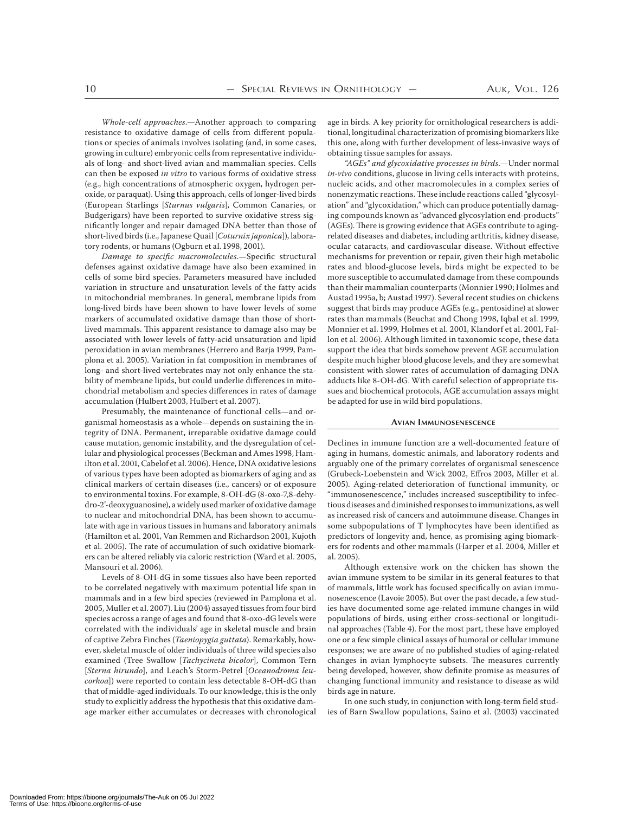*Whole-cell approaches*.—Another approach to comparing resistance to oxidative damage of cells from different populations or species of animals involves isolating (and, in some cases, growing in culture) embryonic cells from representative individuals of long- and short-lived avian and mammalian species. Cells can then be exposed *in vitro* to various forms of oxidative stress (e.g., high concentrations of atmospheric oxygen, hydrogen peroxide, or paraquat). Using this approach, cells of longer-lived birds (European Starlings [*Sturnus vulgaris*], Common Canaries, or Budgerigars) have been reported to survive oxidative stress significantly longer and repair damaged DNA better than those of short-lived birds (i.e., Japanese Quail [*Coturnix japonica*]), laboratory rodents, or humans (Ogburn et al. 1998, 2001).

*Damage to specific macromolecules*.—Specific structural defenses against oxidative damage have also been examined in cells of some bird species. Parameters measured have included variation in structure and unsaturation levels of the fatty acids in mitochondrial membranes. In general, membrane lipids from long-lived birds have been shown to have lower levels of some markers of accumulated oxidative damage than those of shortlived mammals. This apparent resistance to damage also may be associated with lower levels of fatty-acid unsaturation and lipid peroxidation in avian membranes (Herrero and Barja 1999, Pamplona et al. 2005). Variation in fat composition in membranes of long- and short-lived vertebrates may not only enhance the stability of membrane lipids, but could underlie differences in mitochondrial metabolism and species differences in rates of damage accumulation (Hulbert 2003, Hulbert et al. 2007).

Presumably, the maintenance of functional cells—and organismal homeostasis as a whole—depends on sustaining the integrity of DNA. Permanent, irreparable oxidative damage could cause mutation, genomic instability, and the dysregulation of cellular and physiological processes (Beckman and Ames 1998, Hamilton et al. 2001, Cabelof et al. 2006). Hence, DNA oxidative lesions of various types have been adopted as biomarkers of aging and as clinical markers of certain diseases (i.e., cancers) or of exposure to environmental toxins. For example, 8-OH-dG (8-oxo-7,8-dehydro-2'-deoxyguanosine), a widely used marker of oxidative damage to nuclear and mitochondrial DNA, has been shown to accumulate with age in various tissues in humans and laboratory animals (Hamilton et al. 2001, Van Remmen and Richardson 2001, Kujoth et al. 2005). The rate of accumulation of such oxidative biomarkers can be altered reliably via caloric restriction (Ward et al. 2005, Mansouri et al. 2006).

Levels of 8-OH-dG in some tissues also have been reported to be correlated negatively with maximum potential life span in mammals and in a few bird species (reviewed in Pamplona et al. 2005, Muller et al. 2007). Liu (2004) assayed tissues from four bird species across a range of ages and found that 8-oxo-dG levels were correlated with the individuals' age in skeletal muscle and brain of captive Zebra Finches (*Taeniopygia guttata*). Remarkably, however, skeletal muscle of older individuals of three wild species also examined (Tree Swallow [*Tachycineta bicolor*], Common Tern [*Sterna hirundo*], and Leach's Storm-Petrel [*Oceanodroma leucorhoa*]) were reported to contain less detectable 8-OH-dG than that of middle-aged individuals. To our knowledge, this is the only study to explicitly address the hypothesis that this oxidative damage marker either accumulates or decreases with chronological

age in birds. A key priority for ornithological researchers is additional, longitudinal characterization of promising biomarkers like this one, along with further development of less-invasive ways of obtaining tissue samples for assays.

*"AGEs" and glycoxidative processes in birds*.—Under normal *in-vivo* conditions, glucose in living cells interacts with proteins, nucleic acids, and other macromolecules in a complex series of nonenzymatic reactions. These include reactions called "glycosylation" and "glycoxidation," which can produce potentially damaging compounds known as "advanced glycosylation end-products" (AGEs). There is growing evidence that AGEs contribute to agingrelated diseases and diabetes, including arthritis, kidney disease, ocular cataracts, and cardiovascular disease. Without effective mechanisms for prevention or repair, given their high metabolic rates and blood-glucose levels, birds might be expected to be more susceptible to accumulated damage from these compounds than their mammalian counterparts (Monnier 1990; Holmes and Austad 1995a, b; Austad 1997). Several recent studies on chickens suggest that birds may produce AGEs (e.g., pentosidine) at slower rates than mammals (Beuchat and Chong 1998, Iqbal et al. 1999, Monnier et al. 1999, Holmes et al. 2001, Klandorf et al. 2001, Fallon et al. 2006). Although limited in taxonomic scope, these data support the idea that birds somehow prevent AGE accumulation despite much higher blood glucose levels, and they are somewhat consistent with slower rates of accumulation of damaging DNA adducts like 8-OH-dG. With careful selection of appropriate tissues and biochemical protocols, AGE accumulation assays might be adapted for use in wild bird populations.

#### **AVIAN IMMUNOSENESCENCE**

Declines in immune function are a well-documented feature of aging in humans, domestic animals, and laboratory rodents and arguably one of the primary correlates of organismal senescence (Grubeck-Loebenstein and Wick 2002, Effros 2003, Miller et al. ). Aging-related deterioration of functional immunity, or "immunosenescence," includes increased susceptibility to infectious diseases and diminished responses to immunizations, as well as increased risk of cancers and autoimmune disease. Changes in some subpopulations of T lymphocytes have been identified as predictors of longevity and, hence, as promising aging biomarkers for rodents and other mammals (Harper et al. 2004, Miller et al. 2005).

Although extensive work on the chicken has shown the avian immune system to be similar in its general features to that of mammals, little work has focused specifically on avian immunosenescence (Lavoie 2005). But over the past decade, a few studies have documented some age-related immune changes in wild populations of birds, using either cross-sectional or longitudinal approaches (Table 4). For the most part, these have employed one or a few simple clinical assays of humoral or cellular immune responses; we are aware of no published studies of aging-related changes in avian lymphocyte subsets. The measures currently being developed, however, show definite promise as measures of changing functional immunity and resistance to disease as wild birds age in nature.

In one such study, in conjunction with long-term field studies of Barn Swallow populations, Saino et al. (2003) vaccinated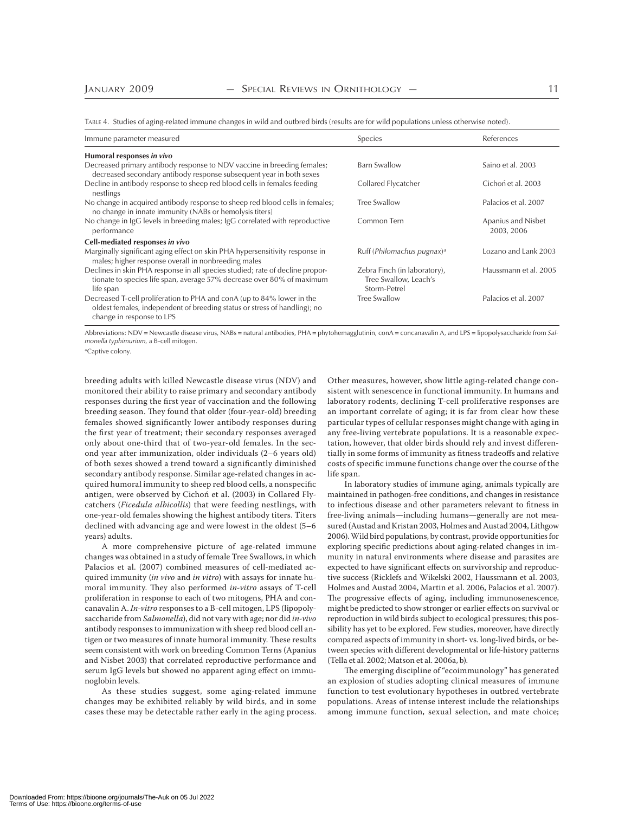TABLE 4. Studies of aging-related immune changes in wild and outbred birds (results are for wild populations unless otherwise noted).

| Immune parameter measured                                                                                                                                                        | Species                                                               | References                       |
|----------------------------------------------------------------------------------------------------------------------------------------------------------------------------------|-----------------------------------------------------------------------|----------------------------------|
| Humoral responses in vivo                                                                                                                                                        |                                                                       |                                  |
| Decreased primary antibody response to NDV vaccine in breeding females;<br>decreased secondary antibody response subsequent year in both sexes                                   | <b>Barn Swallow</b>                                                   | Saino et al. 2003                |
| Decline in antibody response to sheep red blood cells in females feeding<br>nestlings                                                                                            | Collared Flycatcher                                                   | Cichon et al. 2003               |
| No change in acquired antibody response to sheep red blood cells in females;<br>no change in innate immunity (NABs or hemolysis titers)                                          | <b>Tree Swallow</b>                                                   | Palacios et al. 2007             |
| No change in IgG levels in breeding males; IgG correlated with reproductive<br>performance                                                                                       | Common Tern                                                           | Apanius and Nisbet<br>2003, 2006 |
| Cell-mediated responses in vivo                                                                                                                                                  |                                                                       |                                  |
| Marginally significant aging effect on skin PHA hypersensitivity response in<br>males; higher response overall in nonbreeding males                                              | Ruff ( <i>Philomachus pugnax</i> ) <sup>a</sup>                       | Lozano and Lank 2003             |
| Declines in skin PHA response in all species studied; rate of decline propor-<br>tionate to species life span, average 57% decrease over 80% of maximum<br>life span             | Zebra Finch (in laboratory),<br>Tree Swallow, Leach's<br>Storm-Petrel | Haussmann et al. 2005            |
| Decreased T-cell proliferation to PHA and conA (up to 84% lower in the<br>oldest females, independent of breeding status or stress of handling); no<br>change in response to LPS | <b>Tree Swallow</b>                                                   | Palacios et al. 2007             |

Abbreviations: NDV = Newcastle disease virus, NABs = natural antibodies, PHA = phytohemagglutinin, conA = concanavalin A, and LPS = lipopolysaccharide from *Salmonella typhimurium,* a B-cell mitogen.

aCaptive colony.

breeding adults with killed Newcastle disease virus (NDV) and monitored their ability to raise primary and secondary antibody responses during the first year of vaccination and the following breeding season. They found that older (four-year-old) breeding females showed significantly lower antibody responses during the first year of treatment; their secondary responses averaged only about one-third that of two-year-old females. In the second year after immunization, older individuals (2-6 years old) of both sexes showed a trend toward a significantly diminished secondary antibody response. Similar age-related changes in acquired humoral immunity to sheep red blood cells, a nonspecific antigen, were observed by Cichoń et al. (2003) in Collared Flycatchers (*Ficedula albicollis*) that were feeding nestlings, with one-year-old females showing the highest antibody titers. Titers declined with advancing age and were lowest in the oldest  $(5-6)$ years) adults.

A more comprehensive picture of age-related immune changes was obtained in a study of female Tree Swallows, in which Palacios et al. (2007) combined measures of cell-mediated acquired immunity (*in vivo* and *in vitro*) with assays for innate humoral immunity. They also performed *in-vitro* assays of T-cell proliferation in response to each of two mitogens, PHA and concanavalin A. *In-vitro* responses to a B-cell mitogen, LPS (lipopolysaccharide from *Salmonella*), did not vary with age; nor did *in-vivo* antibody responses to immunization with sheep red blood cell antigen or two measures of innate humoral immunity. These results seem consistent with work on breeding Common Terns (Apanius and Nisbet 2003) that correlated reproductive performance and serum IgG levels but showed no apparent aging effect on immunoglobin levels.

As these studies suggest, some aging-related immune changes may be exhibited reliably by wild birds, and in some cases these may be detectable rather early in the aging process.

Other measures, however, show little aging-related change consistent with senescence in functional immunity. In humans and laboratory rodents, declining T-cell proliferative responses are an important correlate of aging; it is far from clear how these particular types of cellular responses might change with aging in any free-living vertebrate populations. It is a reasonable expectation, however, that older birds should rely and invest differentially in some forms of immunity as fitness tradeoffs and relative costs of specific immune functions change over the course of the life span.

In laboratory studies of immune aging, animals typically are maintained in pathogen-free conditions, and changes in resistance to infectious disease and other parameters relevant to fitness in free-living animals—including humans—generally are not measured (Austad and Kristan 2003, Holmes and Austad 2004, Lithgow ). Wild bird populations, by contrast, provide opportunities for exploring specific predictions about aging-related changes in immunity in natural environments where disease and parasites are expected to have significant effects on survivorship and reproductive success (Ricklefs and Wikelski 2002, Haussmann et al. 2003, Holmes and Austad 2004, Martin et al. 2006, Palacios et al. 2007). The progressive effects of aging, including immunosenescence, might be predicted to show stronger or earlier effects on survival or reproduction in wild birds subject to ecological pressures; this possibility has yet to be explored. Few studies, moreover, have directly compared aspects of immunity in short- vs. long-lived birds, or between species with different developmental or life-history patterns (Tella et al. 2002; Matson et al. 2006a, b).

The emerging discipline of "ecoimmunology" has generated an explosion of studies adopting clinical measures of immune function to test evolutionary hypotheses in outbred vertebrate populations. Areas of intense interest include the relationships among immune function, sexual selection, and mate choice;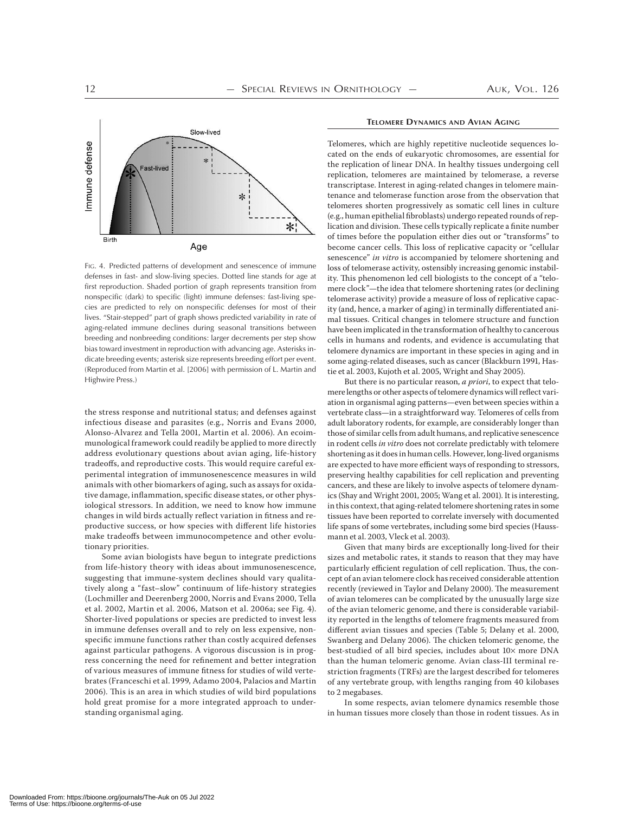

FIG. 4. Predicted patterns of development and senescence of immune defenses in fast- and slow-living species. Dotted line stands for age at first reproduction. Shaded portion of graph represents transition from nonspecific (dark) to specific (light) immune defenses: fast-living species are predicted to rely on nonspecific defenses for most of their lives. "Stair-stepped" part of graph shows predicted variability in rate of aging-related immune declines during seasonal transitions between breeding and nonbreeding conditions: larger decrements per step show bias toward investment in reproduction with advancing age. Asterisks indicate breeding events; asterisk size represents breeding effort per event. (Reproduced from Martin et al. [2006] with permission of L. Martin and Highwire Press.)

the stress response and nutritional status; and defenses against infectious disease and parasites (e.g., Norris and Evans 2000, Alonso-Alvarez and Tella 2001, Martin et al. 2006). An ecoimmunological framework could readily be applied to more directly address evolutionary questions about avian aging, life-history tradeoffs, and reproductive costs. This would require careful experimental integration of immunosenescence measures in wild animals with other biomarkers of aging, such as assays for oxidative damage, inflammation, specific disease states, or other physiological stressors. In addition, we need to know how immune changes in wild birds actually reflect variation in fitness and reproductive success, or how species with different life histories make tradeoffs between immunocompetence and other evolutionary priorities.

Some avian biologists have begun to integrate predictions from life-history theory with ideas about immunosenescence, suggesting that immune-system declines should vary qualitatively along a "fast–slow" continuum of life-history strategies (Lochmiller and Deerenberg 2000, Norris and Evans 2000, Tella et al. 2002, Martin et al. 2006, Matson et al. 2006a; see Fig. 4). Shorter-lived populations or species are predicted to invest less in immune defenses overall and to rely on less expensive, nonspecific immune functions rather than costly acquired defenses against particular pathogens. A vigorous discussion is in progress concerning the need for refinement and better integration of various measures of immune fitness for studies of wild vertebrates (Franceschi et al. 1999, Adamo 2004, Palacios and Martin ). This is an area in which studies of wild bird populations hold great promise for a more integrated approach to understanding organismal aging.

#### **TELOMERE DYNAMICS AND AVIAN AGING**

Telomeres, which are highly repetitive nucleotide sequences located on the ends of eukaryotic chromosomes, are essential for the replication of linear DNA. In healthy tissues undergoing cell replication, telomeres are maintained by telomerase, a reverse transcriptase. Interest in aging-related changes in telomere maintenance and telomerase function arose from the observation that telomeres shorten progressively as somatic cell lines in culture (e.g., human epithelial fibroblasts) undergo repeated rounds of replication and division. These cells typically replicate a finite number of times before the population either dies out or "transforms" to become cancer cells. This loss of replicative capacity or "cellular senescence" *in vitro* is accompanied by telomere shortening and loss of telomerase activity, ostensibly increasing genomic instability. This phenomenon led cell biologists to the concept of a "telomere clock"—the idea that telomere shortening rates (or declining telomerase activity) provide a measure of loss of replicative capacity (and, hence, a marker of aging) in terminally differentiated animal tissues. Critical changes in telomere structure and function have been implicated in the transformation of healthy to cancerous cells in humans and rodents, and evidence is accumulating that telomere dynamics are important in these species in aging and in some aging-related diseases, such as cancer (Blackburn 1991, Hastie et al. 2003, Kujoth et al. 2005, Wright and Shay 2005).

But there is no particular reason, *a priori*, to expect that telomere lengths or other aspects of telomere dynamics will reflect variation in organismal aging patterns—even between species within a vertebrate class—in a straightforward way. Telomeres of cells from adult laboratory rodents, for example, are considerably longer than those of similar cells from adult humans, and replicative senescence in rodent cells *in vitro* does not correlate predictably with telomere shortening as it does in human cells. However, long-lived organisms are expected to have more efficient ways of responding to stressors, preserving healthy capabilities for cell replication and preventing cancers, and these are likely to involve aspects of telomere dynamics (Shay and Wright 2001, 2005; Wang et al. 2001). It is interesting, in this context, that aging-related telomere shortening rates in some tissues have been reported to correlate inversely with documented life spans of some vertebrates, including some bird species (Haussmann et al. 2003, Vleck et al. 2003).

Given that many birds are exceptionally long-lived for their sizes and metabolic rates, it stands to reason that they may have particularly efficient regulation of cell replication. Thus, the concept of an avian telomere clock has received considerable attention recently (reviewed in Taylor and Delany 2000). The measurement of avian telomeres can be complicated by the unusually large size of the avian telomeric genome, and there is considerable variability reported in the lengths of telomere fragments measured from different avian tissues and species (Table 5; Delany et al. 2000, Swanberg and Delany 2006). The chicken telomeric genome, the best-studied of all bird species, includes about  $10\times$  more DNA than the human telomeric genome. Avian class-III terminal restriction fragments (TRFs) are the largest described for telomeres of any vertebrate group, with lengths ranging from 40 kilobases to 2 megabases.

In some respects, avian telomere dynamics resemble those in human tissues more closely than those in rodent tissues. As in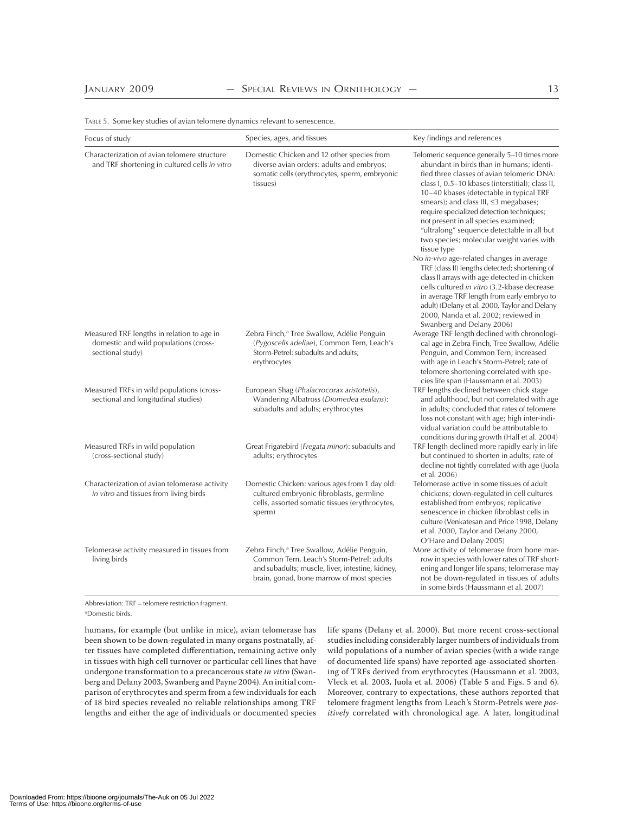| Focus of study                                                                                          | Species, ages, and tissues                                                                                                                                                                            | Key findings and references                                                                                                                                                                                                                                                                                                                                                                                                                                                                                                                                                                                                                                                                                                                                                                                               |
|---------------------------------------------------------------------------------------------------------|-------------------------------------------------------------------------------------------------------------------------------------------------------------------------------------------------------|---------------------------------------------------------------------------------------------------------------------------------------------------------------------------------------------------------------------------------------------------------------------------------------------------------------------------------------------------------------------------------------------------------------------------------------------------------------------------------------------------------------------------------------------------------------------------------------------------------------------------------------------------------------------------------------------------------------------------------------------------------------------------------------------------------------------------|
| Characterization of avian telomere structure<br>and TRF shortening in cultured cells in vitro           | Domestic Chicken and 12 other species from<br>diverse avian orders: adults and embryos;<br>somatic cells (erythrocytes, sperm, embryonic<br>tissues)                                                  | Telomeric sequence generally 5-10 times more<br>abundant in birds than in humans; identi-<br>fied three classes of avian telomeric DNA:<br>class I, 0.5–10 kbases (interstitial); class II,<br>10-40 kbases (detectable in typical TRF<br>smears); and class III, $\leq$ 3 megabases;<br>require specialized detection techniques;<br>not present in all species examined;<br>"ultralong" sequence detectable in all but<br>two species; molecular weight varies with<br>tissue type<br>No in-vivo age-related changes in average<br>TRF (class II) lengths detected; shortening of<br>class II arrays with age detected in chicken<br>cells cultured in vitro (3.2-kbase decrease<br>in average TRF length from early embryo to<br>adult) (Delany et al. 2000, Taylor and Delany<br>2000, Nanda et al. 2002; reviewed in |
| Measured TRF lengths in relation to age in<br>domestic and wild populations (cross-<br>sectional study) | Zebra Finch, <sup>a</sup> Tree Swallow, Adélie Penguin<br>(Pygoscelis adeliae), Common Tern, Leach's<br>Storm-Petrel: subadults and adults;<br>erythrocytes                                           | Swanberg and Delany 2006)<br>Average TRF length declined with chronologi-<br>cal age in Zebra Finch, Tree Swallow, Adélie<br>Penguin, and Common Tern; increased<br>with age in Leach's Storm-Petrel; rate of<br>telomere shortening correlated with spe-                                                                                                                                                                                                                                                                                                                                                                                                                                                                                                                                                                 |
| Measured TRFs in wild populations (cross-<br>sectional and longitudinal studies)                        | European Shag (Phalacrocorax aristotelis),<br>Wandering Albatross (Diomedea exulans):<br>subadults and adults; erythrocytes                                                                           | cies life span (Haussmann et al. 2003)<br>TRF lengths declined between chick stage<br>and adulthood, but not correlated with age<br>in adults; concluded that rates of telomere<br>loss not constant with age; high inter-indi-<br>vidual variation could be attributable to                                                                                                                                                                                                                                                                                                                                                                                                                                                                                                                                              |
| Measured TRFs in wild population<br>(cross-sectional study)                                             | Great Frigatebird ( <i>Fregata minor</i> ): subadults and<br>adults; erythrocytes                                                                                                                     | conditions during growth (Hall et al. 2004)<br>TRF length declined more rapidly early in life<br>but continued to shorten in adults; rate of<br>decline not tightly correlated with age (Juola<br>et al. 2006)                                                                                                                                                                                                                                                                                                                                                                                                                                                                                                                                                                                                            |
| Characterization of avian telomerase activity<br><i>in vitro</i> and tissues from living birds          | Domestic Chicken: various ages from 1 day old:<br>cultured embryonic fibroblasts, germline<br>cells, assorted somatic tissues (erythrocytes,<br>sperm)                                                | Telomerase active in some tissues of adult<br>chickens; down-regulated in cell cultures<br>established from embryos; replicative<br>senescence in chicken fibroblast cells in<br>culture (Venkatesan and Price 1998, Delany<br>et al. 2000, Taylor and Delany 2000,<br>O'Hare and Delany 2005)                                                                                                                                                                                                                                                                                                                                                                                                                                                                                                                            |
| Telomerase activity measured in tissues from<br>living birds                                            | Zebra Finch, <sup>a</sup> Tree Swallow, Adélie Penguin,<br>Common Tern, Leach's Storm-Petrel: adults<br>and subadults; muscle, liver, intestine, kidney,<br>brain, gonad, bone marrow of most species | More activity of telomerase from bone mar-<br>row in species with lower rates of TRF short-<br>ening and longer life spans; telomerase may<br>not be down-regulated in tissues of adults<br>in some birds (Haussmann et al. 2007)                                                                                                                                                                                                                                                                                                                                                                                                                                                                                                                                                                                         |

TABLE 5. Some key studies of avian telomere dynamics relevant to senescence.

 $Abbreviation: TRF = telomere restriction fragment.$ 

aDomestic birds.

humans, for example (but unlike in mice), avian telomerase has been shown to be down-regulated in many organs postnatally, after tissues have completed differentiation, remaining active only in tissues with high cell turnover or particular cell lines that have undergone transformation to a precancerous state *in vitro* (Swanberg and Delany 2003, Swanberg and Payne 2004). An initial comparison of erythrocytes and sperm from a few individuals for each of 18 bird species revealed no reliable relationships among TRF lengths and either the age of individuals or documented species

life spans (Delany et al. 2000). But more recent cross-sectional studies including considerably larger numbers of individuals from wild populations of a number of avian species (with a wide range of documented life spans) have reported age-associated shortening of TRFs derived from erythrocytes (Haussmann et al. 2003, Vleck et al. 2003, Juola et al. 2006) (Table 5 and Figs. 5 and 6). Moreover, contrary to expectations, these authors reported that telomere fragment lengths from Leach's Storm-Petrels were *positively* correlated with chronological age. A later, longitudinal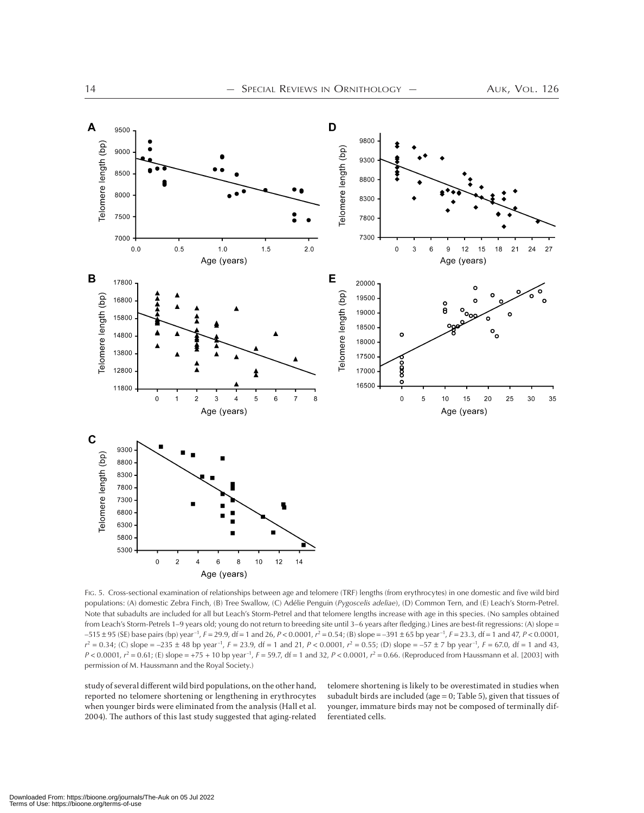

FIG. 5. Cross-sectional examination of relationships between age and telomere (TRF) lengths (from erythrocytes) in one domestic and five wild bird populations: (A) domestic Zebra Finch, (B) Tree Swallow, (C) Adélie Penguin (*Pygoscelis adeliae*), (D) Common Tern, and (E) Leach's Storm-Petrel. Note that subadults are included for all but Leach's Storm-Petrel and that telomere lengths increase with age in this species. (No samples obtained from Leach's Storm-Petrels 1–9 years old; young do not return to breeding site until 3–6 years after fledging.) Lines are best-fit regressions: (A) slope –515 ± 95 (SE) base pairs (bp) year<sup>-1</sup>, *F* = 29.9, df = 1 and 26, *P* < 0.0001,  $r^2$  = 0.54; (B) slope = -391 ± 65 bp year<sup>-1</sup>, *F* = 23.3, df = 1 and 47, *P* < 0.0001,  $r^2 = 0.34$ ; (C) slope = -235  $\pm$  48 bp year<sup>-1</sup>, *F* = 23.9, df = 1 and 21, *P* < 0.0001,  $r^2 = 0.55$ ; (D) slope = -57  $\pm$  7 bp year<sup>-1</sup>, *F* = 67.0, df = 1 and 43, *P* < 0.0001,  $r^2$  = 0.61; (E) slope = +75 + 10 bp year<sup>-1</sup>, *F* = 59.7, df = 1 and 32, *P* < 0.0001,  $r^2$  = 0.66. (Reproduced from Haussmann et al. [2003] with permission of M. Haussmann and the Royal Society.)

study of several different wild bird populations, on the other hand, reported no telomere shortening or lengthening in erythrocytes when younger birds were eliminated from the analysis (Hall et al. ). The authors of this last study suggested that aging-related

telomere shortening is likely to be overestimated in studies when subadult birds are included (age  $= 0$ ; Table 5), given that tissues of younger, immature birds may not be composed of terminally differentiated cells.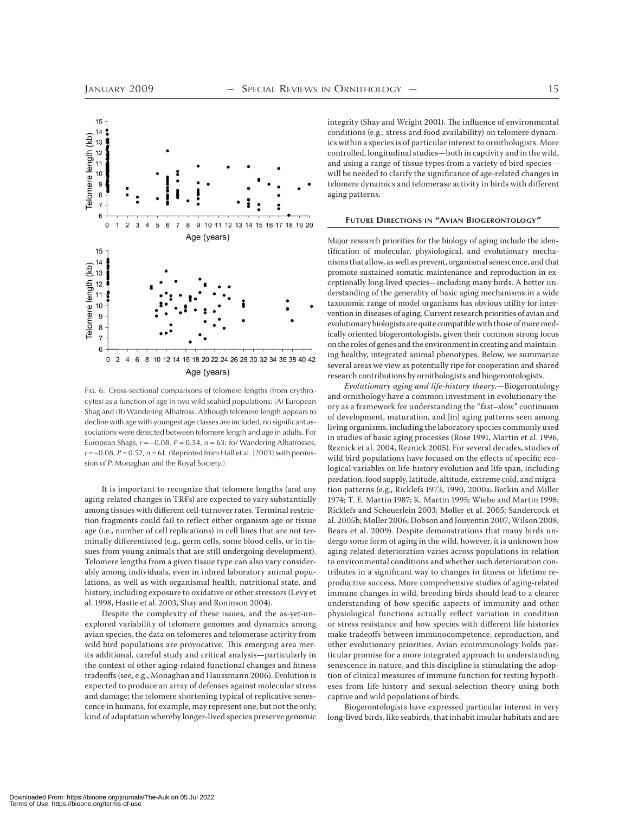

FIG. 6. Cross-sectional comparisons of telomere lengths (from erythrocytes) as a function of age in two wild seabird populations: (A) European Shag and (B) Wandering Albatross. Although telomere length appears to decline with age with youngest age classes are included, no significant associations were detected between telomere length and age in adults. For European Shags,  $r = -0.08$ ,  $P = 0.54$ ,  $n = 63$ ; for Wandering Albatrosses,  $r = -0.08$ ,  $P = 0.52$ ,  $n = 61$ . (Reprinted from Hall et al. [2003] with permission of P. Monaghan and the Royal Society.)

It is important to recognize that telomere lengths (and any aging-related changes in TRFs) are expected to vary substantially among tissues with different cell-turnover rates. Terminal restriction fragments could fail to reflect either organism age or tissue age (i.e., number of cell replications) in cell lines that are not terminally differentiated (e.g., germ cells, some blood cells, or in tissues from young animals that are still undergoing development). Telomere lengths from a given tissue type can also vary considerably among individuals, even in inbred laboratory animal populations, as well as with organismal health, nutritional state, and history, including exposure to oxidative or other stressors (Levy et al. 1998, Hastie et al. 2003, Shay and Roninson 2004).

Despite the complexity of these issues, and the as-yet-unexplored variability of telomere genomes and dynamics among avian species, the data on telomeres and telomerase activity from wild bird populations are provocative. This emerging area merits additional, careful study and critical analysis—particularly in the context of other aging-related functional changes and fitness tradeoffs (see, e.g., Monaghan and Haussmann 2006). Evolution is expected to produce an array of defenses against molecular stress and damage; the telomere shortening typical of replicative senescence in humans, for example, may represent one, but not the only, kind of adaptation whereby longer-lived species preserve genomic integrity (Shay and Wright 2001). The influence of environmental conditions (e.g., stress and food availability) on telomere dynamics within a species is of particular interest to ornithologists. More controlled, longitudinal studies—both in captivity and in the wild, and using a range of tissue types from a variety of bird species will be needed to clarify the significance of age-related changes in telomere dynamics and telomerase activity in birds with different aging patterns.

#### **FUTURE DIRECTIONS IN "AVIAN BIOGERONTOLOGY"**

Major research priorities for the biology of aging include the identification of molecular, physiological, and evolutionary mechanisms that allow, as well as prevent, organismal senescence, and that promote sustained somatic maintenance and reproduction in exceptionally long-lived species—including many birds. A better understanding of the generality of basic aging mechanisms in a wide taxonomic range of model organisms has obvious utility for intervention in diseases of aging. Current research priorities of avian and evolutionary biologists are quite compatible with those of more medically oriented biogerontologists, given their common strong focus on the roles of genes and the environment in creating and maintaining healthy, integrated animal phenotypes. Below, we summarize several areas we view as potentially ripe for cooperation and shared research contributions by ornithologists and biogerontologists.

*Evolutionary aging and life-history theory*.—Biogerontology and ornithology have a common investment in evolutionary theory as a framework for understanding the "fast–slow" continuum of development, maturation, and [in] aging patterns seen among living organisms, including the laboratory species commonly used in studies of basic aging processes (Rose 1991, Martin et al. 1996, Reznick et al. 2004, Reznick 2005). For several decades, studies of wild bird populations have focused on the effects of specific ecological variables on life-history evolution and life span, including predation, food supply, latitude, altitude, extreme cold, and migration patterns (e.g., Ricklefs 1973, 1990, 2000a; Botkin and Miller 1974; T. E. Martin 1987; K. Martin 1995; Wiebe and Martin 1998; Ricklefs and Scheuerlein 2003; Møller et al. 2005; Sandercock et al. 2005b; Møller 2006; Dobson and Jouventin 2007; Wilson 2008; Bears et al. 2009). Despite demonstrations that many birds undergo some form of aging in the wild, however, it is unknown how aging-related deterioration varies across populations in relation to environmental conditions and whether such deterioration contributes in a significant way to changes in fitness or lifetime reproductive success. More comprehensive studies of aging-related immune changes in wild, breeding birds should lead to a clearer understanding of how specific aspects of immunity and other physiological functions actually reflect variation in condition or stress resistance and how species with different life histories make tradeoffs between immunocompetence, reproduction, and other evolutionary priorities. Avian ecoimmunology holds particular promise for a more integrated approach to understanding senescence in nature, and this discipline is stimulating the adoption of clinical measures of immune function for testing hypotheses from life-history and sexual-selection theory using both captive and wild populations of birds.

Biogerontologists have expressed particular interest in very long-lived birds, like seabirds, that inhabit insular habitats and are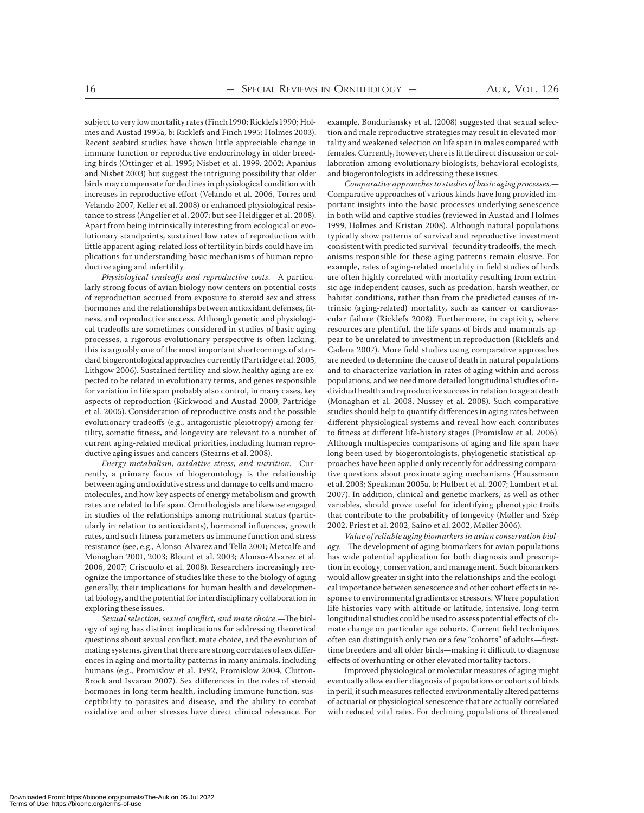subject to very low mortality rates (Finch 1990; Ricklefs 1990; Holmes and Austad 1995a, b; Ricklefs and Finch 1995; Holmes 2003). Recent seabird studies have shown little appreciable change in immune function or reproductive endocrinology in older breeding birds (Ottinger et al. 1995; Nisbet et al. 1999, 2002; Apanius and Nisbet 2003) but suggest the intriguing possibility that older birds may compensate for declines in physiological condition with increases in reproductive effort (Velando et al. 2006, Torres and Velando 2007, Keller et al. 2008) or enhanced physiological resistance to stress (Angelier et al. 2007; but see Heidigger et al. 2008). Apart from being intrinsically interesting from ecological or evolutionary standpoints, sustained low rates of reproduction with little apparent aging-related loss of fertility in birds could have implications for understanding basic mechanisms of human reproductive aging and infertility.

*Physiological tradeoffs and reproductive costs*.—A particularly strong focus of avian biology now centers on potential costs of reproduction accrued from exposure to steroid sex and stress hormones and the relationships between antioxidant defenses, fitness, and reproductive success. Although genetic and physiological tradeoffs are sometimes considered in studies of basic aging processes, a rigorous evolutionary perspective is often lacking; this is arguably one of the most important shortcomings of standard biogerontological approaches currently (Partridge et al. 2005, Lithgow 2006). Sustained fertility and slow, healthy aging are expected to be related in evolutionary terms, and genes responsible for variation in life span probably also control, in many cases, key aspects of reproduction (Kirkwood and Austad 2000, Partridge et al. 2005). Consideration of reproductive costs and the possible evolutionary tradeoffs (e.g., antagonistic pleiotropy) among fertility, somatic fitness, and longevity are relevant to a number of current aging-related medical priorities, including human reproductive aging issues and cancers (Stearns et al. 2008).

*Energy metabolism, oxidative stress, and nutrition*.—Currently, a primary focus of biogerontology is the relationship between aging and oxidative stress and damage to cells and macromolecules, and how key aspects of energy metabolism and growth rates are related to life span. Ornithologists are likewise engaged in studies of the relationships among nutritional status (particularly in relation to antioxidants), hormonal influences, growth rates, and such fitness parameters as immune function and stress resistance (see, e.g., Alonso-Alvarez and Tella 2001; Metcalfe and Monaghan 2001, 2003; Blount et al. 2003; Alonso-Alvarez et al. 2006, 2007; Criscuolo et al. 2008). Researchers increasingly recognize the importance of studies like these to the biology of aging generally, their implications for human health and developmental biology, and the potential for interdisciplinary collaboration in exploring these issues.

*Sexual selection, sexual conflict, and mate choice*.—The biology of aging has distinct implications for addressing theoretical questions about sexual conflict, mate choice, and the evolution of mating systems, given that there are strong correlates of sex differences in aging and mortality patterns in many animals, including humans (e.g., Promislow et al. 1992, Promislow 2004, Clutton-Brock and Isvaran 2007). Sex differences in the roles of steroid hormones in long-term health, including immune function, susceptibility to parasites and disease, and the ability to combat oxidative and other stresses have direct clinical relevance. For

example, Bonduriansky et al. (2008) suggested that sexual selection and male reproductive strategies may result in elevated mortality and weakened selection on life span in males compared with females. Currently, however, there is little direct discussion or collaboration among evolutionary biologists, behavioral ecologists, and biogerontologists in addressing these issues.

*Comparative approaches to studies of basic aging processes*.— Comparative approaches of various kinds have long provided important insights into the basic processes underlying senescence in both wild and captive studies (reviewed in Austad and Holmes 1999, Holmes and Kristan 2008). Although natural populations typically show patterns of survival and reproductive investment consistent with predicted survival–fecundity tradeoffs, the mechanisms responsible for these aging patterns remain elusive. For example, rates of aging-related mortality in field studies of birds are often highly correlated with mortality resulting from extrinsic age-independent causes, such as predation, harsh weather, or habitat conditions, rather than from the predicted causes of intrinsic (aging-related) mortality, such as cancer or cardiovascular failure (Ricklefs 2008). Furthermore, in captivity, where resources are plentiful, the life spans of birds and mammals appear to be unrelated to investment in reproduction (Ricklefs and Cadena 2007). More field studies using comparative approaches are needed to determine the cause of death in natural populations and to characterize variation in rates of aging within and across populations, and we need more detailed longitudinal studies of individual health and reproductive success in relation to age at death (Monaghan et al. 2008, Nussey et al. 2008). Such comparative studies should help to quantify differences in aging rates between different physiological systems and reveal how each contributes to fitness at different life-history stages (Promislow et al. 2006). Although multispecies comparisons of aging and life span have long been used by biogerontologists, phylogenetic statistical approaches have been applied only recently for addressing comparative questions about proximate aging mechanisms (Haussmann et al. 2003; Speakman 2005a, b; Hulbert et al. 2007; Lambert et al. ). In addition, clinical and genetic markers, as well as other variables, should prove useful for identifying phenotypic traits that contribute to the probability of longevity (Møller and Szép 2002, Priest et al. 2002, Saino et al. 2002, Møller 2006).

*Value of reliable aging biomarkers in avian conservation biology*.—The development of aging biomarkers for avian populations has wide potential application for both diagnosis and prescription in ecology, conservation, and management. Such biomarkers would allow greater insight into the relationships and the ecological importance between senescence and other cohort effects in response to environmental gradients or stressors. Where population life histories vary with altitude or latitude, intensive, long-term longitudinal studies could be used to assess potential effects of climate change on particular age cohorts. Current field techniques often can distinguish only two or a few "cohorts" of adults—firsttime breeders and all older birds—making it difficult to diagnose effects of overhunting or other elevated mortality factors.

Improved physiological or molecular measures of aging might eventually allow earlier diagnosis of populations or cohorts of birds in peril, if such measures reflected environmentally altered patterns of actuarial or physiological senescence that are actually correlated with reduced vital rates. For declining populations of threatened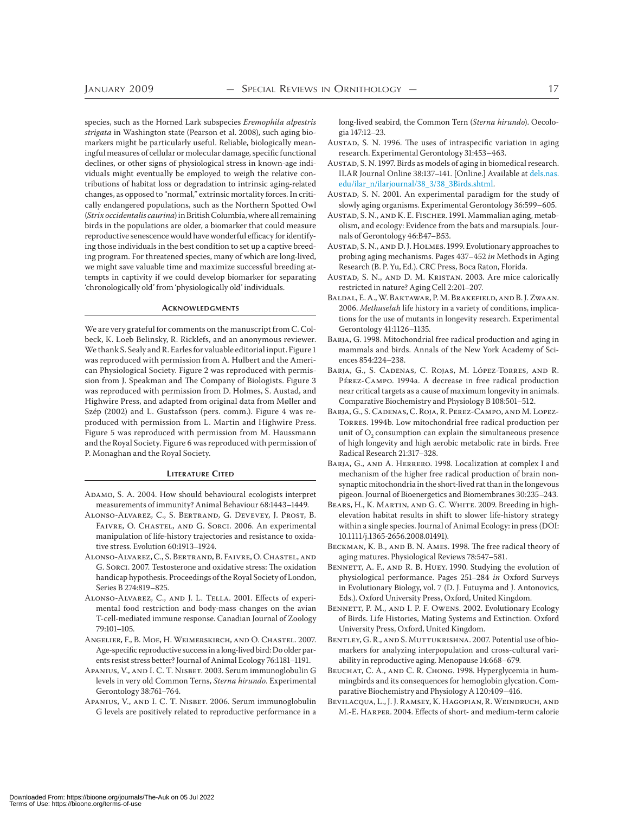species, such as the Horned Lark subspecies *Eremophila alpestris strigata* in Washington state (Pearson et al. 2008), such aging biomarkers might be particularly useful. Reliable, biologically meaningful measures of cellular or molecular damage, specific functional declines, or other signs of physiological stress in known-age individuals might eventually be employed to weigh the relative contributions of habitat loss or degradation to intrinsic aging-related changes, as opposed to "normal," extrinsic mortality forces. In critically endangered populations, such as the Northern Spotted Owl (*Strix occidentalis caurina*) in British Columbia, where all remaining birds in the populations are older, a biomarker that could measure reproductive senescence would have wonderful efficacy for identifying those individuals in the best condition to set up a captive breeding program. For threatened species, many of which are long-lived, we might save valuable time and maximize successful breeding attempts in captivity if we could develop biomarker for separating 'chronologically old' from 'physiologically old' individuals.

#### **ACKNOWLEDGMENTS**

We are very grateful for comments on the manuscript from C. Colbeck, K. Loeb Belinsky, R. Ricklefs, and an anonymous reviewer. We thank S. Sealy and R. Earles for valuable editorial input. Figure 1 was reproduced with permission from A. Hulbert and the American Physiological Society. Figure 2 was reproduced with permission from J. Speakman and The Company of Biologists. Figure was reproduced with permission from D. Holmes, S. Austad, and Highwire Press, and adapted from original data from Møller and Szép (2002) and L. Gustafsson (pers. comm.). Figure 4 was reproduced with permission from L. Martin and Highwire Press. Figure 5 was reproduced with permission from M. Haussmann and the Royal Society. Figure 6 was reproduced with permission of P. Monaghan and the Royal Society.

#### **LITERATURE CITED**

- ADAMO, S. A. 2004. How should behavioural ecologists interpret measurements of immunity? Animal Behaviour 68:1443-1449.
- Alonso-Alvarez, C., S. Bertrand, G. Devevey, J. Prost, B. FAIVRE, O. CHASTEL, AND G. SORCI. 2006. An experimental manipulation of life-history trajectories and resistance to oxidative stress. Evolution 60:1913-1924.
- Alonso-Alvarez, C., S. Bertrand, B. Faivre, O. Chastel, and G. SORCI. 2007. Testosterone and oxidative stress: The oxidation handicap hypothesis. Proceedings of the Royal Society of London, Series B 274:819-825.
- ALONSO-ALVAREZ, C., AND J. L. TELLA. 2001. Effects of experimental food restriction and body-mass changes on the avian T-cell-mediated immune response. Canadian Journal of Zoology 79.101-105
- ANGELIER, F., B. MOE, H. WEIMERSKIRCH, AND O. CHASTEL. 2007. Age-specific reproductive success in a long-lived bird: Do older parents resist stress better? Journal of Animal Ecology 76:1181-1191.
- APANIUS, V., AND I. C. T. NISBET. 2003. Serum immunoglobulin G levels in very old Common Terns, *Sterna hirundo*. Experimental Gerontology 38:761-764.
- APANIUS, V., AND I. C. T. NISBET. 2006. Serum immunoglobulin G levels are positively related to reproductive performance in a

long-lived seabird, the Common Tern (*Sterna hirundo*). Oecologia 147:12-23.

- AUSTAD, S. N. 1996. The uses of intraspecific variation in aging research. Experimental Gerontology 31:453-463.
- AUSTAD, S. N. 1997. Birds as models of aging in biomedical research. ILAR Journal Online 38:137-141. [Online.] Available at dels.nas. edu/ilar\_n/ilarjournal/38\_3/38\_3Birds.shtml.
- AUSTAD, S. N. 2001. An experimental paradigm for the study of slowly aging organisms. Experimental Gerontology 36:599-605.
- AUSTAD, S. N., AND K. E. FISCHER. 1991. Mammalian aging, metabolism, and ecology: Evidence from the bats and marsupials. Journals of Gerontology 46:B47-B53.
- AUSTAD, S. N., AND D. J. HOLMES. 1999. Evolutionary approaches to probing aging mechanisms. Pages 437-452 in Methods in Aging Research (B. P. Yu, Ed.). CRC Press, Boca Raton, Florida.
- AUSTAD, S. N., AND D. M. KRISTAN. 2003. Are mice calorically restricted in nature? Aging Cell 2:201-207.
- Baldal, E. A., W. Baktawar, P. M. Brakefield, and B. J. Zwaan. . *Methuselah* life history in a variety of conditions, implications for the use of mutants in longevity research. Experimental Gerontology 41:1126-1135.
- BARJA, G. 1998. Mitochondrial free radical production and aging in mammals and birds. Annals of the New York Academy of Sciences 854:224-238.
- Barja, G., S. Cadenas, C. Rojas, M. López-Torres, and R. PÉREZ-CAMPO. 1994a. A decrease in free radical production near critical targets as a cause of maximum longevity in animals. Comparative Biochemistry and Physiology B 108:501-512.
- Barja, G., S. Cadenas, C. Roja, R. Perez-Campo, and M. Lopez-TORRES. 1994b. Low mitochondrial free radical production per unit of  $O<sub>2</sub>$  consumption can explain the simultaneous presence of high longevity and high aerobic metabolic rate in birds. Free Radical Research 21:317-328.
- BARJA, G., AND A. HERRERO. 1998. Localization at complex I and mechanism of the higher free radical production of brain nonsynaptic mitochondria in the short-lived rat than in the longevous pigeon. Journal of Bioenergetics and Biomembranes 30:235-243.
- BEARS, H., K. MARTIN, AND G. C. WHITE. 2009. Breeding in highelevation habitat results in shift to slower life-history strategy within a single species. Journal of Animal Ecology: in press (DOI: 10.1111/j.1365-2656.2008.01491).
- BECKMAN, K. B., AND B. N. AMES. 1998. The free radical theory of aging matures. Physiological Reviews 78:547-581.
- BENNETT, A. F., AND R. B. HUEY. 1990. Studying the evolution of physiological performance. Pages 251-284 in Oxford Surveys in Evolutionary Biology, vol. 7 (D. J. Futuyma and J. Antonovics, Eds.). Oxford University Press, Oxford, United Kingdom.
- BENNETT, P. M., AND I. P. F. OWENS. 2002. Evolutionary Ecology of Birds. Life Histories, Mating Systems and Extinction. Oxford University Press, Oxford, United Kingdom.
- BENTLEY, G. R., AND S. MUTTUKRISHNA. 2007. Potential use of biomarkers for analyzing interpopulation and cross-cultural variability in reproductive aging. Menopause 14:668-679.
- BEUCHAT, C. A., AND C. R. CHONG. 1998. Hyperglycemia in hummingbirds and its consequences for hemoglobin glycation. Comparative Biochemistry and Physiology A 120:409-416.
- Bevilacqua, L., J. J. Ramsey, K. Hagopian, R. Weindruch, and M.-E. HARPER. 2004. Effects of short- and medium-term calorie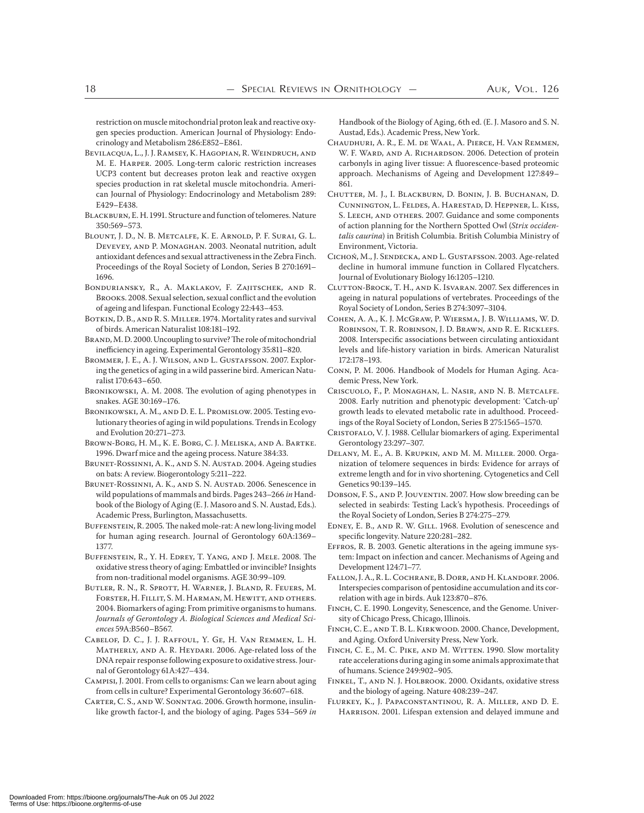restriction on muscle mitochondrial proton leak and reactive oxygen species production. American Journal of Physiology: Endocrinology and Metabolism 286:E852-E861.

- Bevilacqua, L., J. J. Ramsey, K. Hagopian, R. Weindruch, and M. E. HARPER. 2005. Long-term caloric restriction increases UCP3 content but decreases proton leak and reactive oxygen species production in rat skeletal muscle mitochondria. American Journal of Physiology: Endocrinology and Metabolism 289: E429-E438.
- BLACKBURN, E. H. 1991. Structure and function of telomeres. Nature 350:569-573.
- Blount, J. D., N. B. Metcalfe, K. E. Arnold, P. F. Surai, G. L. DEVEVEY, AND P. MONAGHAN. 2003. Neonatal nutrition, adult antioxidant defences and sexual attractiveness in the Zebra Finch. Proceedings of the Royal Society of London, Series B 270:1691– 1696.
- Bonduriansky, R., A. Maklakov, F. Zajitschek, and R. BROOKS. 2008. Sexual selection, sexual conflict and the evolution of ageing and lifespan. Functional Ecology 22:443-453.
- BOTKIN, D. B., AND R. S. MILLER. 1974. Mortality rates and survival of birds. American Naturalist 108:181-192.
- BRAND, M. D. 2000. Uncoupling to survive? The role of mitochondrial inefficiency in ageing. Experimental Gerontology 35:811-820.
- BROMMER, J. E., A. J. WILSON, AND L. GUSTAFSSON. 2007. Exploring the genetics of aging in a wild passerine bird. American Naturalist 170:643-650.
- BRONIKOWSKI, A. M. 2008. The evolution of aging phenotypes in snakes. AGE 30:169-176.
- BRONIKOWSKI, A. M., AND D. E. L. PROMISLOW. 2005. Testing evolutionary theories of aging in wild populations. Trends in Ecology and Evolution 20:271-273.
- Brown-Borg, H. M., K. E. Borg, C. J. Meliska, and A. Bartke. 1996. Dwarf mice and the ageing process. Nature 384:33.
- BRUNET-ROSSINNI, A. K., AND S. N. AUSTAD. 2004. Ageing studies on bats: A review. Biogerontology 5:211-222.
- BRUNET-ROSSINNI, A. K., AND S. N. AUSTAD. 2006. Senescence in wild populations of mammals and birds. Pages 243-266 in Handbook of the Biology of Aging (E. J. Masoro and S. N. Austad, Eds.). Academic Press, Burlington, Massachusetts.
- BUFFENSTEIN, R. 2005. The naked mole-rat: A new long-living model for human aging research. Journal of Gerontology 60A:1369-1377.
- BUFFENSTEIN, R., Y. H. EDREY, T. YANG, AND J. MELE. 2008. The oxidative stress theory of aging: Embattled or invincible? Insights from non-traditional model organisms. AGE 30:99-109.
- Butler, R. N., R. Sprott, H. Warner, J. Bland, R. Feuers, M. Forster, H. Fillit, S. M. Harman, M. Hewitt, and others. 2004. Biomarkers of aging: From primitive organisms to humans. *Journals of Gerontology A. Biological Sciences and Medical Sciences* 59A:B560-B567.
- Cabelof, D. C., J. J. Raffoul, Y. Ge, H. Van Remmen, L. H. MATHERLY, AND A. R. HEYDARI. 2006. Age-related loss of the DNA repair response following exposure to oxidative stress. Journal of Gerontology 61A:427-434.
- CAMPISI, J. 2001. From cells to organisms: Can we learn about aging from cells in culture? Experimental Gerontology 36:607-618.
- CARTER, C. S., AND W. SONNTAG. 2006. Growth hormone, insulinlike growth factor-I, and the biology of aging. Pages 534-569 in

Handbook of the Biology of Aging, 6th ed. (E. J. Masoro and S. N. Austad, Eds.). Academic Press, New York.

- Chaudhuri, A. R., E. M. de Waal, A. Pierce, H. Van Remmen, W. F. WARD, AND A. RICHARDSON. 2006. Detection of protein carbonyls in aging liver tissue: A fluorescence-based proteomic approach. Mechanisms of Ageing and Development 127:849-861.
- Chutter, M. J., I. Blackburn, D. Bonin, J. B. Buchanan, D. Cunnington, L. Feldes, A. Harestad, D. Heppner, L. Kiss, S. LEECH, AND OTHERS. 2007. Guidance and some components of action planning for the Northern Spotted Owl (*Strix occidentalis caurina*) in British Columbia. British Columbia Ministry of Environment, Victoria.
- CICHOŃ, M., J. SENDECKA, AND L. GUSTAFSSON. 2003. Age-related decline in humoral immune function in Collared Flycatchers. Journal of Evolutionary Biology 16:1205-1210.
- CLUTTON-BROCK, T. H., AND K. ISVARAN. 2007. Sex differences in ageing in natural populations of vertebrates. Proceedings of the Royal Society of London, Series B 274:3097-3104.
- Cohen, A. A., K. J. McGraw, P. Wiersma, J. B. Williams, W. D. Robinson, T. R. Robinson, J. D. Brawn, and R. E. Ricklefs. . Interspecific associations between circulating antioxidant levels and life-history variation in birds. American Naturalist 172:178-193.
- CONN, P. M. 2006. Handbook of Models for Human Aging. Academic Press, New York.
- Criscuolo, F., P. Monaghan, L. Nasir, and N. B. Metcalfe. . Early nutrition and phenotypic development: 'Catch-up' growth leads to elevated metabolic rate in adulthood. Proceedings of the Royal Society of London, Series B 275:1565-1570.
- CRISTOFALO, V. J. 1988. Cellular biomarkers of aging. Experimental Gerontology 23:297-307.
- DELANY, M. E., A. B. KRUPKIN, AND M. M. MILLER. 2000. Organization of telomere sequences in birds: Evidence for arrays of extreme length and for in vivo shortening. Cytogenetics and Cell Genetics 90:139-145.
- DOBSON, F. S., AND P. JOUVENTIN. 2007. How slow breeding can be selected in seabirds: Testing Lack's hypothesis. Proceedings of the Royal Society of London, Series B 274:275-279.
- EDNEY, E. B., AND R. W. GILL. 1968. Evolution of senescence and specific longevity. Nature 220:281-282.
- EFFROS, R. B. 2003. Genetic alterations in the ageing immune system: Impact on infection and cancer. Mechanisms of Ageing and Development 124:71-77.
- FALLON, J. A., R. L. COCHRANE, B. DORR, AND H. KLANDORF. 2006. Interspecies comparison of pentosidine accumulation and its correlation with age in birds. Auk 123:870-876.
- FINCH, C. E. 1990. Longevity, Senescence, and the Genome. University of Chicago Press, Chicago, Illinois.
- FINCH, C. E., AND T. B. L. KIRKWOOD. 2000. Chance, Development, and Aging. Oxford University Press, New York.
- FINCH, C. E., M. C. PIKE, AND M. WITTEN. 1990. Slow mortality rate accelerations during aging in some animals approximate that of humans. Science 249:902-905.
- FINKEL, T., AND N. J. HOLBROOK. 2000. Oxidants, oxidative stress and the biology of ageing. Nature  $408:239-247$ .
- Flurkey, K., J. Papaconstantinou, R. A. Miller, and D. E. HARRISON. 2001. Lifespan extension and delayed immune and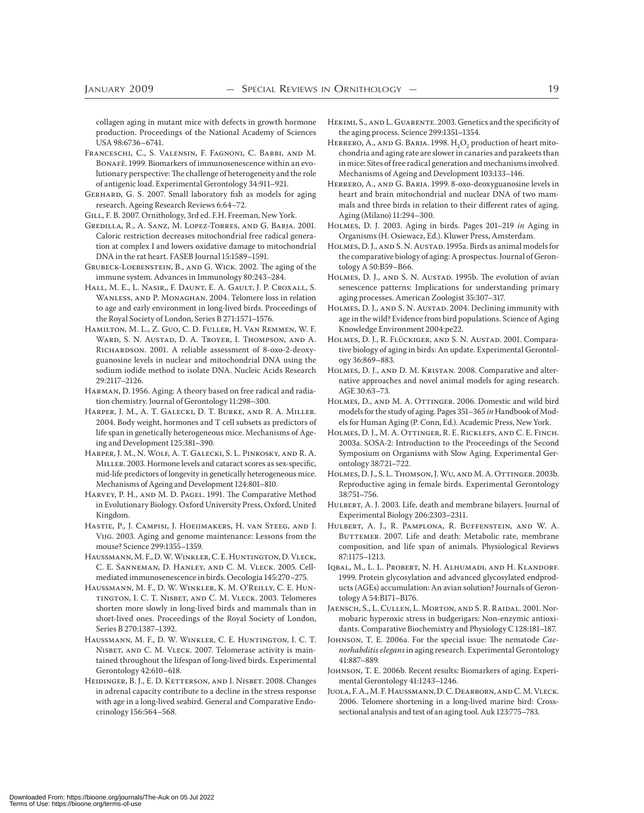collagen aging in mutant mice with defects in growth hormone production. Proceedings of the National Academy of Sciences USA 98:6736-6741.

- Franceschi, C., S. Valensin, F. Fagnoni, C. Barbi, and M. BONAFÈ. 1999. Biomarkers of immunosenescence within an evolutionary perspective: The challenge of heterogeneity and the role of antigenic load. Experimental Gerontology 34:911-921.
- GERHARD, G. S. 2007. Small laboratory fish as models for aging research. Ageing Research Reviews 6:64-72.

GILL, F. B. 2007. Ornithology, 3rd ed. F.H. Freeman, New York.

- GREDILLA, R., A. SANZ, M. LOPEZ-TORRES, AND G. BARJA. 2001. Caloric restriction decreases mitochondrial free radical generation at complex I and lowers oxidative damage to mitochondrial DNA in the rat heart. FASEB Journal 15:1589-1591.
- GRUBECK-LOEBENSTEIN, B., AND G. WICK. 2002. The aging of the immune system. Advances in Immunology 80:243-284.
- Hall, M. E., L. Nasir,, F. Daunt, E. A. Gault, J. P. Croxall, S. WANLESS, AND P. MONAGHAN. 2004. Telomere loss in relation to age and early environment in long-lived birds. Proceedings of the Royal Society of London, Series B 271:1571-1576.
- Hamilton, M. L., Z. Guo, C. D. Fuller, H. Van Remmen, W. F. Ward, S. N. Austad, D. A. Troyer, I. Thompson, and A. RICHARDSON. 2001. A reliable assessment of 8-oxo-2-deoxyguanosine levels in nuclear and mitochondrial DNA using the sodium iodide method to isolate DNA. Nucleic Acids Research 29:2117-2126.
- HARMAN, D. 1956. Aging: A theory based on free radical and radiation chemistry. Journal of Gerontology 11:298-300.
- Harper, J. M., A. T. Galecki, D. T. Burke, and R. A. Miller. . Body weight, hormones and T cell subsets as predictors of life span in genetically heterogeneous mice. Mechanisms of Ageing and Development 125:381-390.
- Harper, J. M., N. Wolf, A. T. Galecki, S. L. Pinkosky, and R. A. MILLER. 2003. Hormone levels and cataract scores as sex-specific, mid-life predictors of longevity in genetically heterogeneous mice. Mechanisms of Ageing and Development 124:801-810.
- HARVEY, P. H., AND M. D. PAGEL. 1991. The Comparative Method in Evolutionary Biology. Oxford University Press, Oxford, United Kingdom.
- Hastie, P., J. Campisi, J. Hoeijmakers, H. van Steeg, and J. VIJG. 2003. Aging and genome maintenance: Lessons from the mouse? Science 299:1355-1359.
- Haussmann, M. F., D. W. Winkler, C. E. Huntington, D. Vleck, C. E. SANNEMAN, D. HANLEY, AND C. M. VLECK. 2005. Cellmediated immunosenescence in birds. Oecologia 145:270-275.
- Haussmann, M. F., D. W. Winkler, K. M. O'Reilly, C. E. Hun-TINGTON, I. C. T. NISBET, AND C. M. VLECK. 2003. Telomeres shorten more slowly in long-lived birds and mammals than in short-lived ones. Proceedings of the Royal Society of London, Series B 270:1387-1392.
- Haussmann, M. F., D. W. Winkler, C. E. Huntington, I. C. T. NISBET, AND C. M. VLECK. 2007. Telomerase activity is maintained throughout the lifespan of long-lived birds. Experimental Gerontology 42:610-618.
- HEIDINGER, B. J., E. D. KETTERSON, AND I. NISBET. 2008. Changes in adrenal capacity contribute to a decline in the stress response with age in a long-lived seabird. General and Comparative Endocrinology 156:564-568.
- HEKIMI, S., AND L. GUARENTE. 2003. Genetics and the specificity of the aging process. Science 299:1351-1354.
- HERRERO, A., AND G. BARJA. 1998.  $H_2O_2$  production of heart mitochondria and aging rate are slower in canaries and parakeets than in mice: Sites of free radical generation and mechanisms involved. Mechanisms of Ageing and Development 103:133-146.
- HERRERO, A., AND G. BARJA. 1999. 8-oxo-deoxyguanosine levels in heart and brain mitochondrial and nuclear DNA of two mammals and three birds in relation to their different rates of aging. Aging (Milano) 11:294-300.
- HOLMES, D. J. 2003. Aging in birds. Pages 201-219 in Aging in Organisms (H. Osiewacz, Ed.). Kluwer Press, Amsterdam.
- HOLMES, D. J., AND S. N. AUSTAD. 1995a. Birds as animal models for the comparative biology of aging: A prospectus. Journal of Gerontology  $A 50: B59 - B66$ .
- HOLMES, D. J., AND S. N. AUSTAD. 1995b. The evolution of avian senescence patterns: Implications for understanding primary aging processes. American Zoologist 35:307-317.
- HOLMES, D. J., AND S. N. AUSTAD. 2004. Declining immunity with age in the wild? Evidence from bird populations. Science of Aging Knowledge Environment 2004:pe22.
- HOLMES, D. J., R. FLÜCKIGER, AND S. N. AUSTAD. 2001. Comparative biology of aging in birds: An update. Experimental Gerontology 36:869-883.
- HOLMES, D. J., AND D. M. KRISTAN. 2008. Comparative and alternative approaches and novel animal models for aging research.  $AGE$  30:63-73.
- HOLMES, D., AND M. A. OTTINGER. 2006. Domestic and wild bird models for the study of aging. Pages 351-365 in Handbook of Models for Human Aging (P. Conn, Ed.). Academic Press, New York.
- Holmes, D. J., M. A. Ottinger, R. E. Ricklefs, and C. E. Finch. 2003a. SOSA-2: Introduction to the Proceedings of the Second Symposium on Organisms with Slow Aging. Experimental Gerontology 38:721-722.
- HOLMES, D. J., S. L. THOMSON, J. WU, AND M. A. OTTINGER. 2003b. Reproductive aging in female birds. Experimental Gerontology 38:751-756.
- HULBERT, A. J. 2003. Life, death and membrane bilayers. Journal of Experimental Biology 206:2303-2311.
- Hulbert, A. J., R. Pamplona, R. Buffenstein, and W. A. BUTTEMER. 2007. Life and death: Metabolic rate, membrane composition, and life span of animals. Physiological Reviews 87:1175-1213.
- Iqbal, M., L. L. Probert, N. H. Alhumadi, and H. Klandorf. 1999. Protein glycosylation and advanced glycosylated endproducts (AGEs) accumulation: An avian solution? Journals of Gerontology A 54:B171-B176.
- JAENSCH, S., L. CULLEN, L. MORTON, AND S. R. RAIDAL. 2001. Normobaric hyperoxic stress in budgerigars: Non-enzymic antioxidants. Comparative Biochemistry and Physiology C 128:181-187.
- JOHNSON, T. E. 2006a. For the special issue: The nematode *Caenorhabditis elegans* in aging research. Experimental Gerontology 41:887-889
- JOHNSON, T. E. 2006b. Recent results: Biomarkers of aging. Experimental Gerontology 41:1243-1246.
- Juola, F. A., M. F. Haussmann, D. C. Dearborn, and C. M. Vleck. . Telomere shortening in a long-lived marine bird: Crosssectional analysis and test of an aging tool. Auk 123:775-783.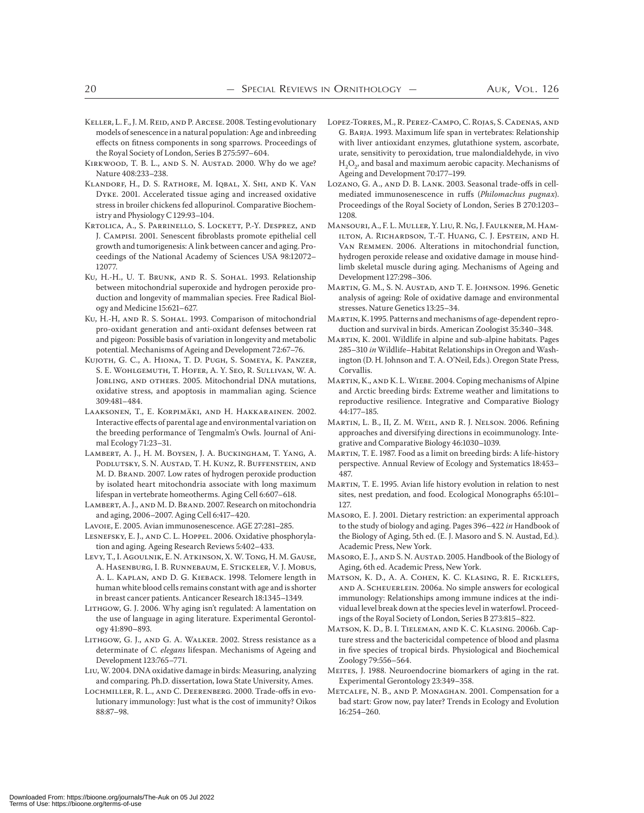- KELLER, L. F., J. M. REID, AND P. ARCESE. 2008. Testing evolutionary models of senescence in a natural population: Age and inbreeding effects on fitness components in song sparrows. Proceedings of the Royal Society of London, Series B 275:597-604.
- KIRKWOOD, T. B. L., AND S. N. AUSTAD. 2000. Why do we age? Nature 408:233-238.
- Klandorf, H., D. S. Rathore, M. Iqbal, X. Shi, and K. Van DYKE. 2001. Accelerated tissue aging and increased oxidative stress in broiler chickens fed allopurinol. Comparative Biochemistry and Physiology C 129:93-104.
- Krtolica, A., S. Parrinello, S. Lockett, P.-Y. Desprez, and J. CAMPISI. 2001. Senescent fibroblasts promote epithelial cell growth and tumorigenesis: A link between cancer and aging. Proceedings of the National Academy of Sciences USA 98:12072-12077.
- KU, H.-H., U. T. BRUNK, AND R. S. SOHAL. 1993. Relationship between mitochondrial superoxide and hydrogen peroxide production and longevity of mammalian species. Free Radical Biology and Medicine 15:621-627.
- KU, H.-H, AND R. S. SOHAL. 1993. Comparison of mitochondrial pro-oxidant generation and anti-oxidant defenses between rat and pigeon: Possible basis of variation in longevity and metabolic potential. Mechanisms of Ageing and Development 72:67-76.
- Kujoth, G. C., A. Hiona, T. D. Pugh, S. Someya, K. Panzer, S. E. Wohlgemuth, T. Hofer, A. Y. Seo, R. Sullivan, W. A. JOBLING, AND OTHERS. 2005. Mitochondrial DNA mutations, oxidative stress, and apoptosis in mammalian aging. Science 309:481-484.
- LAAKSONEN, T., E. KORPIMÄKI, AND H. HAKKARAINEN. 2002. Interactive effects of parental age and environmental variation on the breeding performance of Tengmalm's Owls. Journal of Animal Ecology 71:23-31.
- Lambert, A. J., H. M. Boysen, J. A. Buckingham, T. Yang, A. Podlutsky, S. N. Austad, T. H. Kunz, R. Buffenstein, and M. D. BRAND. 2007. Low rates of hydrogen peroxide production by isolated heart mitochondria associate with long maximum lifespan in vertebrate homeotherms. Aging Cell 6:607-618.
- LAMBERT, A. J., AND M. D. BRAND. 2007. Research on mitochondria and aging, 2006-2007. Aging Cell 6:417-420.
- LAVOIE, E. 2005. Avian immunosenescence. AGE 27:281-285.
- LESNEFSKY, E. J., AND C. L. HOPPEL. 2006. Oxidative phosphorylation and aging. Ageing Research Reviews 5:402-433.
- Levy, T., I. Agoulnik, E. N. Atkinson, X. W. Tong, H. M. Gause, A. Hasenburg, I. B. Runnebaum, E. Stickeler, V. J. Mobus, A. L. KAPLAN, AND D. G. KIEBACK. 1998. Telomere length in human white blood cells remains constant with age and is shorter in breast cancer patients. Anticancer Research 18:1345-1349.
- LITHGOW, G. J. 2006. Why aging isn't regulated: A lamentation on the use of language in aging literature. Experimental Gerontology 41:890-893.
- LITHGOW, G. J., AND G. A. WALKER. 2002. Stress resistance as a determinate of *C. elegans* lifespan. Mechanisms of Ageing and Development 123:765-771.
- LIU, W. 2004. DNA oxidative damage in birds: Measuring, analyzing and comparing. Ph.D. dissertation, Iowa State University, Ames.
- LOCHMILLER, R. L., AND C. DEERENBERG. 2000. Trade-offs in evolutionary immunology: Just what is the cost of immunity? Oikos 88:87-98.
- Lopez-Torres, M., R. Perez-Campo, C. Rojas, S. Cadenas, and G. BARJA. 1993. Maximum life span in vertebrates: Relationship with liver antioxidant enzymes, glutathione system, ascorbate, urate, sensitivity to peroxidation, true malondialdehyde, in vivo  $H_2O_2$ , and basal and maximum aerobic capacity. Mechanisms of Ageing and Development 70:177-199.
- LOZANO, G. A., AND D. B. LANK. 2003. Seasonal trade-offs in cellmediated immunosenescence in ruffs (*Philomachus pugnax*). Proceedings of the Royal Society of London, Series B 270:1203– 1208
- Mansouri, A., F. L. Muller, Y. Liu, R. Ng, J. Faulkner, M. Hamilton, A. Richardson, T.-T. Huang, C. J. Epstein, and H. VAN REMMEN. 2006. Alterations in mitochondrial function, hydrogen peroxide release and oxidative damage in mouse hindlimb skeletal muscle during aging. Mechanisms of Ageing and Development 127:298-306.
- MARTIN, G. M., S. N. AUSTAD, AND T. E. JOHNSON. 1996. Genetic analysis of ageing: Role of oxidative damage and environmental stresses. Nature Genetics 13:25-34.
- MARTIN, K. 1995. Patterns and mechanisms of age-dependent reproduction and survival in birds. American Zoologist 35:340-348.
- MARTIN, K. 2001. Wildlife in alpine and sub-alpine habitats. Pages – *in* Wildlife–Habitat Relationships in Oregon and Washington (D. H. Johnson and T. A. O'Neil, Eds.). Oregon State Press, Corvallis.
- MARTIN, K., AND K. L. WIEBE. 2004. Coping mechanisms of Alpine and Arctic breeding birds: Extreme weather and limitations to reproductive resilience. Integrative and Comparative Biology 44:177-185.
- MARTIN, L. B., II, Z. M. WEIL, AND R. J. NELSON. 2006. Refining approaches and diversifying directions in ecoimmunology. Integrative and Comparative Biology 46:1030-1039.
- MARTIN, T. E. 1987. Food as a limit on breeding birds: A life-history perspective. Annual Review of Ecology and Systematics 18:453-487.
- MARTIN, T. E. 1995. Avian life history evolution in relation to nest sites, nest predation, and food. Ecological Monographs 65:101-127.
- MASORO, E. J. 2001. Dietary restriction: an experimental approach to the study of biology and aging. Pages 396–422 in Handbook of the Biology of Aging, 5th ed. (E. J. Masoro and S. N. Austad, Ed.). Academic Press, New York.
- MASORO, E. J., AND S. N. AUSTAD. 2005. Handbook of the Biology of Aging, 6th ed. Academic Press, New York.
- Matson, K. D., A. A. Cohen, K. C. Klasing, R. E. Ricklefs, AND A. SCHEUERLEIN. 2006a. No simple answers for ecological immunology: Relationships among immune indices at the individual level break down at the species level in waterfowl. Proceedings of the Royal Society of London, Series B 273:815-822.
- MATSON, K. D., B. I. TIELEMAN, AND K. C. KLASING. 2006b. Capture stress and the bactericidal competence of blood and plasma in five species of tropical birds. Physiological and Biochemical Zoology 79:556-564.
- MEITES, J. 1988. Neuroendocrine biomarkers of aging in the rat. Experimental Gerontology 23:349-358.
- METCALFE, N. B., AND P. MONAGHAN. 2001. Compensation for a bad start: Grow now, pay later? Trends in Ecology and Evolution 16:254-260.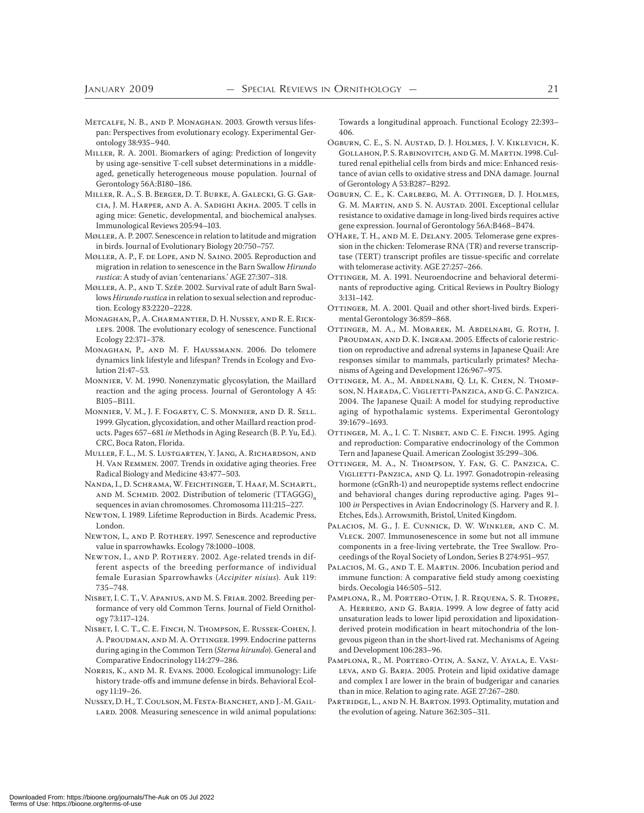- METCALFE, N. B., AND P. MONAGHAN. 2003. Growth versus lifespan: Perspectives from evolutionary ecology. Experimental Gerontology 38:935-940.
- MILLER, R. A. 2001. Biomarkers of aging: Prediction of longevity by using age-sensitive T-cell subset determinations in a middleaged, genetically heterogeneous mouse population. Journal of Gerontology 56A:B180-186.
- Miller, R. A., S. B. Berger, D. T. Burke, A. Galecki, G. G. Garcia, J. M. Harper, and A. A. Sadighi Akha. 2005. T cells in aging mice: Genetic, developmental, and biochemical analyses. Immunological Reviews 205:94-103.
- Møller, A. P. 2007. Senescence in relation to latitude and migration in birds. Journal of Evolutionary Biology 20:750-757.
- Møller, A. P., F. de Lope, and N. Saino. 2005. Reproduction and migration in relation to senescence in the Barn Swallow *Hirundo*  rustica: A study of avian 'centenarians.' AGE 27:307-318.
- MØLLER, A. P., AND T. SzÉP. 2002. Survival rate of adult Barn Swallows *Hirundo rustica* in relation to sexual selection and reproduction. Ecology 83:2220-2228.
- Monaghan, P., A. Charmantier, D. H. Nussey, and R. E. Rick-LEFS. 2008. The evolutionary ecology of senescence. Functional Ecology 22:371-378.
- MONAGHAN, P., AND M. F. HAUSSMANN. 2006. Do telomere dynamics link lifestyle and lifespan? Trends in Ecology and Evolution 21:47-53.
- MONNIER, V. M. 1990. Nonenzymatic glycosylation, the Maillard reaction and the aging process. Journal of Gerontology A 45: B105-B111.
- Monnier, V. M., J. F. Fogarty, C. S. Monnier, and D. R. Sell. 1999. Glycation, glycoxidation, and other Maillard reaction products. Pages 657-681 in Methods in Aging Research (B. P. Yu, Ed.). CRC, Boca Raton, Florida.
- Muller, F. L., M. S. Lustgarten, Y. Jang, A. Richardson, and H. VAN REMMEN. 2007. Trends in oxidative aging theories. Free Radical Biology and Medicine 43:477-503.
- Nanda, I., D. Schrama, W. Feichtinger, T. Haaf, M. Schartl, AND M. SCHMID. 2002. Distribution of telomeric (TTAGGG)<sub>n</sub> sequences in avian chromosomes. Chromosoma 111:215-227.
- NEWTON, I. 1989. Lifetime Reproduction in Birds. Academic Press, London.
- NEWTON, I., AND P. ROTHERY. 1997. Senescence and reproductive value in sparrowhawks. Ecology 78:1000-1008.
- NEWTON, I., AND P. ROTHERY. 2002. Age-related trends in different aspects of the breeding performance of individual female Eurasian Sparrowhawks (Accipiter nisius). Auk 119:  $735 - 748.$
- NISBET, I. C. T., V. APANIUS, AND M. S. FRIAR. 2002. Breeding performance of very old Common Terns. Journal of Field Ornithology 73:117-124.
- Nisbet, I. C. T., C. E. Finch, N. Thompson, E. Russek-Cohen, J. A. PROUDMAN, AND M. A. OTTINGER. 1999. Endocrine patterns during aging in the Common Tern (*Sterna hirundo*). General and Comparative Endocrinology 114:279-286.
- NORRIS, K., AND M. R. EVANS. 2000. Ecological immunology: Life history trade-offs and immune defense in birds. Behavioral Ecology 11:19-26.
- Nussey, D. H., T. Coulson, M. Festa-Bianchet, and J.-M. Gail-LARD. 2008. Measuring senescence in wild animal populations:

Towards a longitudinal approach. Functional Ecology 22:393-406.

- Ogburn, C. E., S. N. Austad, D. J. Holmes, J. V. Kiklevich, K. GOLLAHON, P. S. RABINOVITCH, AND G. M. MARTIN. 1998. Cultured renal epithelial cells from birds and mice: Enhanced resistance of avian cells to oxidative stress and DNA damage. Journal of Gerontology A 53:B287-B292.
- Ogburn, C. E., K. Carlberg, M. A. Ottinger, D. J. Holmes, G. M. MARTIN, AND S. N. AUSTAD. 2001. Exceptional cellular resistance to oxidative damage in long-lived birds requires active gene expression. Journal of Gerontology 56A:B468-B474.
- O'HARE, T. H., AND M. E. DELANY. 2005. Telomerase gene expression in the chicken: Telomerase RNA (TR) and reverse transcriptase (TERT) transcript profiles are tissue-specific and correlate with telomerase activity. AGE 27:257-266.
- OTTINGER, M. A. 1991. Neuroendocrine and behavioral determinants of reproductive aging. Critical Reviews in Poultry Biology 3:131-142.
- OTTINGER, M. A. 2001. Quail and other short-lived birds. Experimental Gerontology 36:859-868.
- Ottinger, M. A., M. Mobarek, M. Abdelnabi, G. Roth, J. PROUDMAN, AND D. K. INGRAM. 2005. Effects of calorie restriction on reproductive and adrenal systems in Japanese Quail: Are responses similar to mammals, particularly primates? Mechanisms of Ageing and Development 126:967-975.
- Ottinger, M. A., M. Abdelnabi, Q. Li, K. Chen, N. Thompson, N. Harada, C. Viglietti-Panzica, and G. C. Panzica. . The Japanese Quail: A model for studying reproductive aging of hypothalamic systems. Experimental Gerontology 39:1679-1693.
- OTTINGER, M. A., I. C. T. NISBET, AND C. E. FINCH. 1995. Aging and reproduction: Comparative endocrinology of the Common Tern and Japanese Quail. American Zoologist 35:299-306.
- Ottinger, M. A., N. Thompson, Y. Fan, G. C. Panzica, C. VIGLIETTI-PANZICA, AND Q. LI. 1997. Gonadotropin-releasing hormone (cGnRh-) and neuropeptide systems reflect endocrine and behavioral changes during reproductive aging. Pages 91 *in* Perspectives in Avian Endocrinology (S. Harvery and R. J. Etches, Eds.). Arrowsmith, Bristol, United Kingdom.
- Palacios, M. G., J. E. Cunnick, D. W. Winkler, and C. M. VLECK. 2007. Immunosenescence in some but not all immune components in a free-living vertebrate, the Tree Swallow. Proceedings of the Royal Society of London, Series B 274:951-957.
- PALACIOS, M. G., AND T. E. MARTIN. 2006. Incubation period and immune function: A comparative field study among coexisting birds. Oecologia 146:505-512.
- Pamplona, R., M. Portero-Otin, J. R. Requena, S. R. Thorpe, A. HERRERO, AND G. BARJA. 1999. A low degree of fatty acid unsaturation leads to lower lipid peroxidation and lipoxidationderived protein modification in heart mitochondria of the longevous pigeon than in the short-lived rat. Mechanisms of Ageing and Development 106:283-96.
- Pamplona, R., M. Portero-Otin, A. Sanz, V. Ayala, E. Vasi-LEVA, AND G. BARJA. 2005. Protein and lipid oxidative damage and complex I are lower in the brain of budgerigar and canaries than in mice. Relation to aging rate. AGE  $27:267-280$ .
- PARTRIDGE, L., AND N. H. BARTON. 1993. Optimality, mutation and the evolution of ageing. Nature 362:305-311.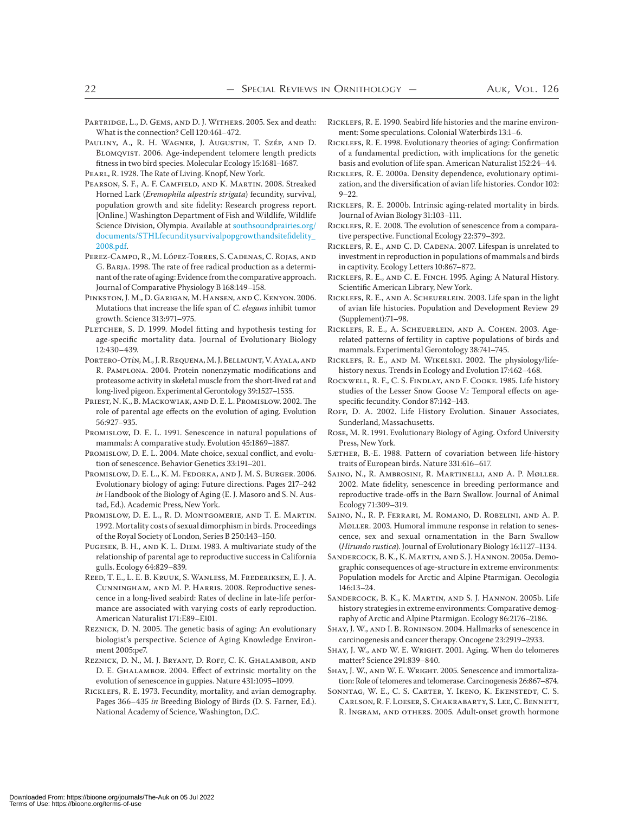- PARTRIDGE, L., D. GEMS, AND D. J. WITHERS. 2005. Sex and death: What is the connection? Cell 120:461-472.
- Pauliny, A., R. H. Wagner, J. Augustin, T. Szép, and D. BLOMQVIST. 2006. Age-independent telomere length predicts fitness in two bird species. Molecular Ecology  $15:1681-1687$ .

PEARL, R. 1928. The Rate of Living. Knopf, New York.

- PEARSON, S. F., A. F. CAMFIELD, AND K. MARTIN. 2008. Streaked Horned Lark (*Eremophila alpestris strigata*) fecundity, survival, population growth and site fidelity: Research progress report. [Online.] Washington Department of Fish and Wildlife, Wildlife Science Division, Olympia. Available at southsoundprairies.org/ documents/STHLfecunditysurvivalpopgrowthandsitefidelity\_ 2008.pdf.
- Perez-Campo, R., M. López-Torres, S. Cadenas, C. Rojas, and G. BARJA. 1998. The rate of free radical production as a determinant of the rate of aging: Evidence from the comparative approach. Journal of Comparative Physiology B 168:149-158.
- PINKSTON, J. M., D. GARIGAN, M. HANSEN, AND C. KENYON. 2006. Mutations that increase the life span of *C. elegans* inhibit tumor growth. Science 313:971-975.
- PLETCHER, S. D. 1999. Model fitting and hypothesis testing for age-specific mortality data. Journal of Evolutionary Biology 12:430-439
- Portero-Otín, M., J. R. Requena, M. J. Bellmunt, V. Ayala, and R. PAMPLONA. 2004. Protein nonenzymatic modifications and proteasome activity in skeletal muscle from the short-lived rat and long-lived pigeon. Experimental Gerontology 39:1527-1535.
- PRIEST, N. K., B. MACKOWIAK, AND D. E. L. PROMISLOW. 2002. The role of parental age effects on the evolution of aging. Evolution 56:927-935.
- PROMISLOW, D. E. L. 1991. Senescence in natural populations of mammals: A comparative study. Evolution 45:1869-1887.
- PROMISLOW, D. E. L. 2004. Mate choice, sexual conflict, and evolution of senescence. Behavior Genetics 33:191-201.
- PROMISLOW, D. E. L., K. M. FEDORKA, AND J. M. S. BURGER. 2006. Evolutionary biology of aging: Future directions. Pages 217-242 *in* Handbook of the Biology of Aging (E. J. Masoro and S. N. Austad, Ed.). Academic Press, New York.
- Promislow, D. E. L., R. D. Montgomerie, and T. E. Martin. . Mortality costs of sexual dimorphism in birds. Proceedings of the Royal Society of London, Series B 250:143-150.
- PUGESEK, B. H., AND K. L. DIEM. 1983. A multivariate study of the relationship of parental age to reproductive success in California gulls. Ecology 64:829-839.
- Reed, T. E., L. E. B. Kruuk, S. Wanless, M. Frederiksen, E. J. A. CUNNINGHAM, AND M. P. HARRIS. 2008. Reproductive senescence in a long-lived seabird: Rates of decline in late-life performance are associated with varying costs of early reproduction. American Naturalist 171:E89-E101.
- REZNICK, D. N. 2005. The genetic basis of aging: An evolutionary biologist's perspective. Science of Aging Knowledge Environment 2005:pe7.
- Reznick, D. N., M. J. Bryant, D. Roff, C. K. Ghalambor, and D. E. GHALAMBOR. 2004. Effect of extrinsic mortality on the evolution of senescence in guppies. Nature 431:1095-1099.
- RICKLEFS, R. E. 1973. Fecundity, mortality, and avian demography. Pages 366-435 in Breeding Biology of Birds (D. S. Farner, Ed.). National Academy of Science, Washington, D.C.
- RICKLEFS, R. E. 1990. Seabird life histories and the marine environment: Some speculations. Colonial Waterbirds 13:1-6.
- RICKLEFS, R. E. 1998. Evolutionary theories of aging: Confirmation of a fundamental prediction, with implications for the genetic basis and evolution of life span. American Naturalist 152:24-44.
- RICKLEFS, R. E. 2000a. Density dependence, evolutionary optimization, and the diversification of avian life histories. Condor 102:  $9 - 22$
- RICKLEFS, R. E. 2000b. Intrinsic aging-related mortality in birds. Journal of Avian Biology 31:103-111.
- RICKLEFS, R. E. 2008. The evolution of senescence from a comparative perspective. Functional Ecology 22:379-392.
- RICKLEFS, R. E., AND C. D. CADENA. 2007. Lifespan is unrelated to investment in reproduction in populations of mammals and birds in captivity. Ecology Letters 10:867-872.
- RICKLEFS, R. E., AND C. E. FINCH. 1995. Aging: A Natural History. Scientific American Library, New York.
- RICKLEFS, R. E., AND A. SCHEUERLEIN. 2003. Life span in the light of avian life histories. Population and Development Review  $(Supplement):71-98.$
- RICKLEFS, R. E., A. SCHEUERLEIN, AND A. COHEN. 2003. Agerelated patterns of fertility in captive populations of birds and mammals. Experimental Gerontology 38:741-745.
- RICKLEFS, R. E., AND M. WIKELSKI. 2002. The physiology/lifehistory nexus. Trends in Ecology and Evolution 17:462-468.
- ROCKWELL, R. F., C. S. FINDLAY, AND F. COOKE. 1985. Life history studies of the Lesser Snow Goose V.: Temporal effects on agespecific fecundity. Condor 87:142-143.
- ROFF, D. A. 2002. Life History Evolution. Sinauer Associates, Sunderland, Massachusetts.
- ROSE, M. R. 1991. Evolutionary Biology of Aging. Oxford University Press, New York.
- SÆTHER, B.-E. 1988. Pattern of covariation between life-history traits of European birds. Nature 331:616-617.
- Saino, N., R. Ambrosini, R. Martinelli, and A. P. Møller. . Mate fidelity, senescence in breeding performance and reproductive trade-offs in the Barn Swallow. Journal of Animal Ecology 71:309-319.
- Saino, N., R. P. Ferrari, M. Romano, D. Robelini, and A. P. Møller. 2003. Humoral immune response in relation to senescence, sex and sexual ornamentation in the Barn Swallow (*Hirundo rustica*). Journal of Evolutionary Biology 16:1127-1134.
- SANDERCOCK, B. K., K. MARTIN, AND S. J. HANNON. 2005a. Demographic consequences of age-structure in extreme environments: Population models for Arctic and Alpine Ptarmigan. Oecologia 146:13-24.
- SANDERCOCK, B. K., K. MARTIN, AND S. J. HANNON. 2005b. Life history strategies in extreme environments: Comparative demography of Arctic and Alpine Ptarmigan. Ecology 86:2176-2186.
- SHAY, J. W., AND I. B. RONINSON. 2004. Hallmarks of senescence in carcinogenesis and cancer therapy. Oncogene 23:2919-2933.
- SHAY, J. W., AND W. E. WRIGHT. 2001. Aging. When do telomeres matter? Science 291:839-840.
- SHAY, J. W., AND W. E. WRIGHT. 2005. Senescence and immortalization: Role of telomeres and telomerase. Carcinogenesis 26:867-874.
- SONNTAG, W. E., C. S. CARTER, Y. IKENO, K. EKENSTEDT, C. S. Carlson, R. F. Loeser, S. Chakrabarty, S. Lee, C. Bennett, R. INGRAM, AND OTHERS. 2005. Adult-onset growth hormone